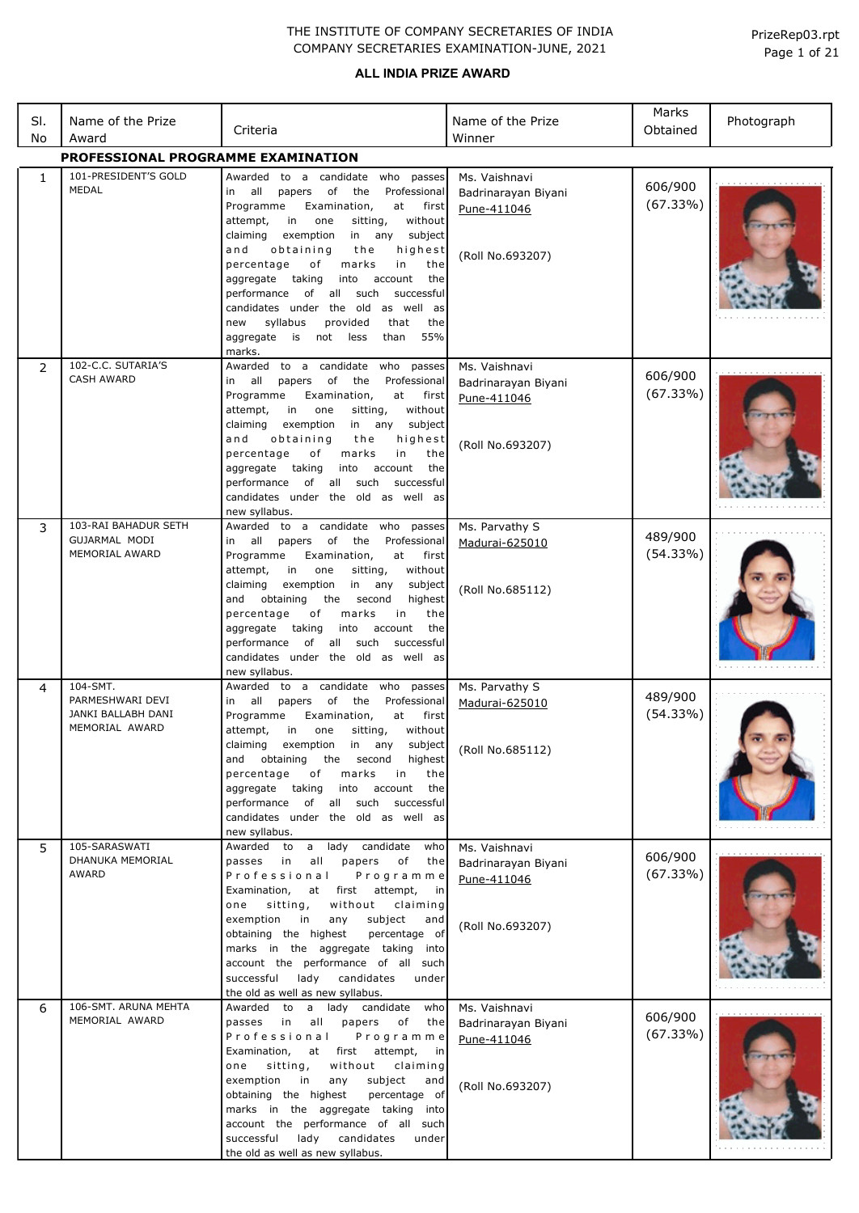# **ALL INDIA PRIZE AWARD**

| SI.<br>No    | Name of the Prize<br>Award                                           | Criteria                                                                                                                                                                                                                                                                                                                                                                                                                                                                                                                                                        | Name of the Prize<br>Winner                                             | Marks<br>Obtained   | Photograph |
|--------------|----------------------------------------------------------------------|-----------------------------------------------------------------------------------------------------------------------------------------------------------------------------------------------------------------------------------------------------------------------------------------------------------------------------------------------------------------------------------------------------------------------------------------------------------------------------------------------------------------------------------------------------------------|-------------------------------------------------------------------------|---------------------|------------|
|              | PROFESSIONAL PROGRAMME EXAMINATION                                   |                                                                                                                                                                                                                                                                                                                                                                                                                                                                                                                                                                 |                                                                         |                     |            |
| $\mathbf{1}$ | 101-PRESIDENT'S GOLD<br>MEDAL                                        | Awarded to a candidate who passes<br>all<br>papers<br>of<br>the<br>Professional<br>in<br>Programme<br>Examination,<br>at<br>first<br>attempt,<br>in<br>one<br>without<br>sitting,<br>in any<br>claiming<br>exemption<br>subject<br>obtaining<br>and<br>the<br>highest<br>percentage<br>marks<br>in<br>the<br>of<br>aggregate<br>taking<br>into<br>account<br>the<br>of all such<br>successful<br>performance<br>candidates under the old<br>as well as<br>syllabus<br>that<br>new<br>provided<br>the<br>55%<br>aggregate<br>is<br>not<br>less<br>than<br>marks. | Ms. Vaishnavi<br>Badrinarayan Biyani<br>Pune-411046<br>(Roll No.693207) | 606/900<br>(67.33%) |            |
| 2            | 102-C.C. SUTARIA'S<br><b>CASH AWARD</b>                              | Awarded to a candidate<br>who passes<br>all<br>of<br>the<br>Professional<br>papers<br>in<br>Programme<br>Examination,<br>at<br>first<br>attempt,<br>in<br>without<br>one<br>sitting,<br>any<br>claiming<br>exemption<br>in<br>subject<br>and<br>obtaining<br>the<br>highest<br>percentage<br>оf<br>marks<br>in<br>the<br>aggregate<br>taking<br>into<br>account<br>the<br>performance<br>of all such<br>successful<br>candidates under the old as well as<br>new syllabus.                                                                                      | Ms. Vaishnavi<br>Badrinarayan Biyani<br>Pune-411046<br>(Roll No.693207) | 606/900<br>(67.33%) |            |
| 3            | 103-RAI BAHADUR SETH<br>GUJARMAL MODI<br>MEMORIAL AWARD              | Awarded to a candidate who passes<br>all<br>papers<br>of<br>the<br>Professional<br>in<br>Programme<br>Examination,<br>at<br>first<br>in<br>without<br>attempt,<br>one<br>sitting,<br>claiming<br>exemption<br>in<br>any<br>subject<br>obtaining<br>highest<br>and<br>the<br>second<br>percentage<br>оf<br>marks<br>the<br>in<br>taking<br>aggregate<br>into<br>account<br>the<br>performance<br>of all<br>such<br>successful<br>candidates under the old as well as<br>new syllabus.                                                                            | Ms. Parvathy S<br>Madurai-625010<br>(Roll No.685112)                    | 489/900<br>(54.33%) |            |
| 4            | 104-SMT.<br>PARMESHWARI DEVI<br>JANKI BALLABH DANI<br>MEMORIAL AWARD | Awarded to a candidate who passes<br>all<br>papers<br>of<br>the<br>Professional<br>in<br>Programme<br>Examination,<br>at<br>first<br>without<br>attempt,<br>one<br>sitting,<br>in<br>claiming<br>exemption<br>in<br>any<br>subject<br>obtaining<br>the second<br>highest<br>and<br>percentage<br>marks<br>оf<br>the<br>in<br>into<br>aggregate taking<br>account<br>the<br>performance of all such successful<br>candidates under the old as well as<br>new syllabus.                                                                                           | Ms. Parvathy S<br>Madurai-625010<br>(Roll No.685112)                    | 489/900<br>(54.33%) |            |
| 5            | 105-SARASWATI<br>DHANUKA MEMORIAL<br>AWARD                           | a lady candidate<br>Awarded to<br>who<br>passes in<br>all<br>papers<br>of<br>the<br>Professional<br>Programme<br>Examination,<br>at first attempt,<br>in<br>sitting,<br>without<br>one<br>claiming<br>exemption<br>subject<br>in<br>any<br>and<br>obtaining the highest<br>percentage of<br>marks in the aggregate taking into<br>account the performance of all such<br>successful<br>lady candidates<br>under<br>the old as well as new syllabus.                                                                                                             | Ms. Vaishnavi<br>Badrinarayan Biyani<br>Pune-411046<br>(Roll No.693207) | 606/900<br>(67.33%) |            |
| 6            | 106-SMT. ARUNA MEHTA<br>MEMORIAL AWARD                               | a lady candidate<br>Awarded to<br>who<br>passes<br>in<br>all<br>papers<br>of<br>the<br>Professional<br>Programme<br>Examination,<br>at<br>first<br>attempt,<br>in<br>one<br>sitting,<br>without<br>claiming<br>exemption<br>in<br>any<br>subject<br>and<br>obtaining the highest<br>percentage of<br>marks in the aggregate taking into<br>account the performance of all such<br>successful<br>lady<br>candidates<br>under<br>the old as well as new syllabus.                                                                                                 | Ms. Vaishnavi<br>Badrinarayan Biyani<br>Pune-411046<br>(Roll No.693207) | 606/900<br>(67.33%) |            |

Page 1 of 21 PrizeRep03.rpt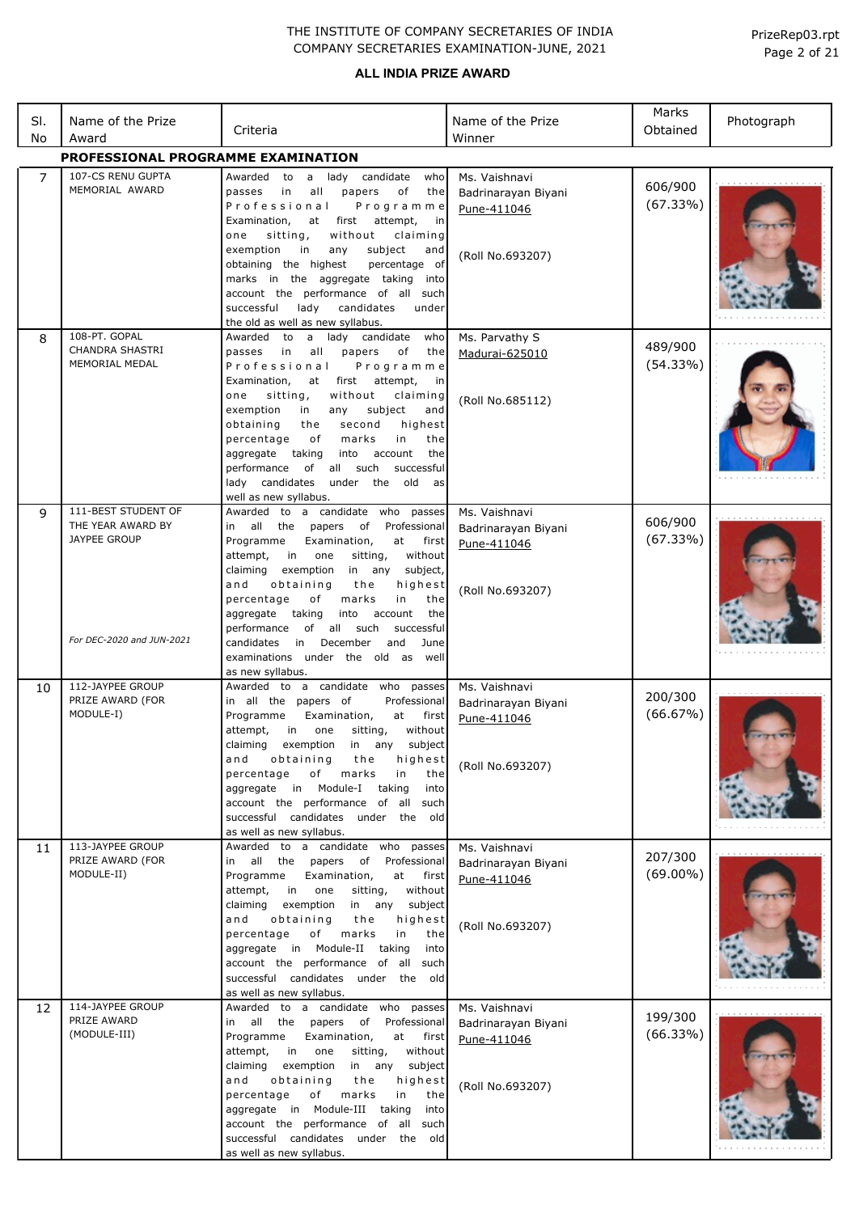| SI.<br>No | Name of the Prize<br>Award                                                                   | Criteria                                                                                                                                                                                                                                                                                                                                                                                                                                                                                                      | Name of the Prize<br>Winner                                             | Marks<br>Obtained      | Photograph |
|-----------|----------------------------------------------------------------------------------------------|---------------------------------------------------------------------------------------------------------------------------------------------------------------------------------------------------------------------------------------------------------------------------------------------------------------------------------------------------------------------------------------------------------------------------------------------------------------------------------------------------------------|-------------------------------------------------------------------------|------------------------|------------|
|           | PROFESSIONAL PROGRAMME EXAMINATION                                                           |                                                                                                                                                                                                                                                                                                                                                                                                                                                                                                               |                                                                         |                        |            |
| 7         | 107-CS RENU GUPTA<br>MEMORIAL AWARD                                                          | Awarded to a lady candidate<br>who<br>in<br>all<br>papers<br>оf<br>the<br>passes<br>Professional<br>Programme<br>first<br>attempt,<br>Examination,<br>at<br>in<br>sitting,<br>without<br>claiming<br>one<br>exemption<br>subject<br>in<br>any<br>and<br>obtaining the highest<br>percentage of<br>marks in the aggregate taking<br>into<br>account the performance of all such<br>successful<br>lady<br>candidates<br>under<br>the old as well as new syllabus.                                               | Ms. Vaishnavi<br>Badrinarayan Biyani<br>Pune-411046<br>(Roll No.693207) | 606/900<br>(67.33%)    |            |
| 8         | 108-PT. GOPAL<br><b>CHANDRA SHASTRI</b><br>MEMORIAL MEDAL                                    | Awarded to a lady candidate<br>who<br>in.<br>all<br>passes<br>papers<br>of<br>the<br>Professional<br>Programme<br>Examination,<br>first attempt,<br>at<br>in<br>sitting,<br>without<br>one<br>claiming<br>subject<br>exemption<br>any<br>in<br>and<br>obtaining<br>the<br>second<br>highest<br>of<br>in<br>percentage<br>marks<br>the<br>aggregate taking<br>the<br>into<br>account<br>performance<br>of<br>all such<br>successful<br>lady candidates<br>under the old<br>as<br>well as new syllabus.         | Ms. Parvathy S<br>Madurai-625010<br>(Roll No.685112)                    | 489/900<br>(54.33%)    |            |
| 9         | 111-BEST STUDENT OF<br>THE YEAR AWARD BY<br><b>JAYPEE GROUP</b><br>For DEC-2020 and JUN-2021 | Awarded to a candidate who passes<br>in all the papers<br>of<br>Professional<br>Programme<br>Examination,<br>at<br>first<br>one<br>attempt,<br>in<br>sitting,<br>without<br>claiming<br>exemption<br>in any subject,<br>obtaining<br>and<br>the<br>highest<br>in<br>percentage<br>of<br>marks<br>the<br>the<br>aggregate<br>taking<br>into<br>account<br>of all such<br>performance<br>successful<br>candidates<br>December<br>and<br>in<br>June<br>examinations under the old as<br>well<br>as new syllabus. | Ms. Vaishnavi<br>Badrinarayan Biyani<br>Pune-411046<br>(Roll No.693207) | 606/900<br>(67.33%)    |            |
| 10        | 112-JAYPEE GROUP<br>PRIZE AWARD (FOR<br>MODULE-I)                                            | Awarded to a candidate who passes<br>in all the papers of<br>Professional<br>Programme<br>Examination,<br>at<br>first<br>attempt,<br>in<br>one<br>sitting,<br>without<br>claiming<br>exemption<br>any<br>subject<br>in<br>obtaining<br>and<br>the<br>highest<br>of<br>marks<br>in<br>percentage<br>the<br>aggregate in Module-I taking<br>into<br>account the performance of all such<br>successful candidates under the old<br>as well as new syllabus.                                                      | Ms. Vaishnavi<br>Badrinarayan Biyani<br>Pune-411046<br>(Roll No.693207) | 200/300<br>(66.67%)    |            |
| 11        | 113-JAYPEE GROUP<br>PRIZE AWARD (FOR<br>MODULE-II)                                           | Awarded to a candidate who passes<br>in all the papers of<br>Professional<br>Programme<br>Examination,<br>at<br>first<br>in one<br>without<br>attempt,<br>sitting,<br>claiming<br>exemption<br>in any subject<br>and<br>obtaining<br>the<br>highest<br>percentage<br>of<br>marks<br>in<br>the<br>aggregate in Module-II<br>taking<br>into<br>account the performance of all such<br>successful candidates under the old<br>as well as new syllabus.                                                           | Ms. Vaishnavi<br>Badrinarayan Biyani<br>Pune-411046<br>(Roll No.693207) | 207/300<br>$(69.00\%)$ |            |
| 12        | 114-JAYPEE GROUP<br>PRIZE AWARD<br>(MODULE-III)                                              | Awarded to a candidate who passes<br>in all the papers of<br>Professional<br>Programme<br>Examination,<br>at<br>first<br>without<br>attempt,<br>in<br>one<br>sitting,<br>claiming<br>exemption<br>in any<br>subject<br>obtaining<br>the<br>and<br>highest<br>percentage<br>of<br>marks<br>in<br>the<br>aggregate in Module-III taking<br>into<br>account the performance of all such<br>successful candidates under the old<br>as well as new syllabus.                                                       | Ms. Vaishnavi<br>Badrinarayan Biyani<br>Pune-411046<br>(Roll No.693207) | 199/300<br>(66.33%)    |            |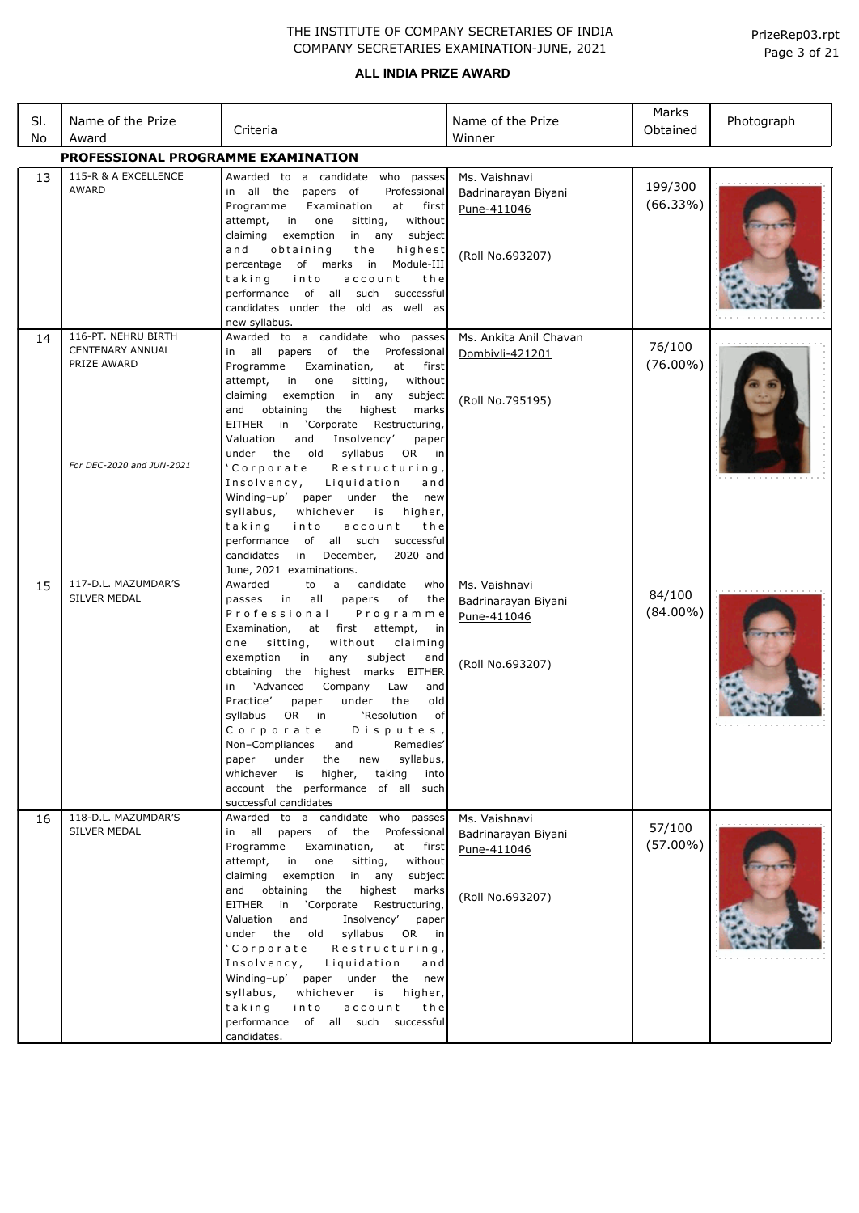#### **ALL INDIA PRIZE AWARD**

| SI.<br>No | Name of the Prize<br>Award                                                                 | Criteria                                                                                                                                                                                                                                                                                                                                                                                                                                                                                                                                                                                                                 | Name of the Prize<br>Winner                                             | Marks<br>Obtained     | Photograph |
|-----------|--------------------------------------------------------------------------------------------|--------------------------------------------------------------------------------------------------------------------------------------------------------------------------------------------------------------------------------------------------------------------------------------------------------------------------------------------------------------------------------------------------------------------------------------------------------------------------------------------------------------------------------------------------------------------------------------------------------------------------|-------------------------------------------------------------------------|-----------------------|------------|
|           | PROFESSIONAL PROGRAMME EXAMINATION                                                         |                                                                                                                                                                                                                                                                                                                                                                                                                                                                                                                                                                                                                          |                                                                         |                       |            |
| 13        | 115-R & A EXCELLENCE<br>AWARD                                                              | Awarded to a candidate who passes<br>in all the papers of<br>Professional<br>Programme<br>Examination<br>first<br>at<br>attempt,<br>without<br>in one<br>sitting,<br>claiming<br>exemption<br>in any subject<br>and<br>highest<br>obtaining<br>the<br>of marks in<br>Module-III<br>percentage<br>into<br>taking<br>account<br>the<br>performance of all such<br>successful<br>candidates under the old as well as<br>new syllabus.                                                                                                                                                                                       | Ms. Vaishnavi<br>Badrinarayan Biyani<br>Pune-411046<br>(Roll No.693207) | 199/300<br>(66.33%)   |            |
| 14        | 116-PT. NEHRU BIRTH<br><b>CENTENARY ANNUAL</b><br>PRIZE AWARD<br>For DEC-2020 and JUN-2021 | Awarded to a candidate who passes<br>in all<br>papers of the<br>Professional<br>Programme<br>Examination,<br>at<br>first<br>without<br>attempt,<br>in<br>one<br>sitting,<br>any<br>claiming<br>exemption<br>in<br>subject<br>obtaining<br>the highest<br>marks<br>and<br>EITHER in 'Corporate<br>Restructuring,<br>and<br>Insolvency'<br>Valuation<br>paper<br>under<br>the old<br>syllabus<br>OR in<br>'Corporate<br>Restructuring,<br>Insolvency,<br>Liquidation<br>and<br>Winding-up'<br>paper under the new<br>syllabus,<br>whichever is<br>higher,                                                                  | Ms. Ankita Anil Chavan<br>Dombivli-421201<br>(Roll No.795195)           | 76/100<br>$(76.00\%)$ |            |
| 15        | 117-D.L. MAZUMDAR'S                                                                        | taking<br>account<br>the<br>into<br>performance of all such<br>successful<br>candidates in<br>December,<br>2020 and<br>June, 2021 examinations.<br>candidate<br>Awarded<br>to<br>a<br>who                                                                                                                                                                                                                                                                                                                                                                                                                                | Ms. Vaishnavi                                                           |                       |            |
|           | <b>SILVER MEDAL</b>                                                                        | passes in<br>all<br>papers<br>of<br>the<br>Professional<br>Programme<br>Examination,<br>first<br>attempt,<br>at<br>in<br>sitting,<br>without<br>claiming<br>one<br>exemption<br>subject<br>in<br>any<br>and<br>obtaining the highest marks EITHER<br>'Advanced<br>in<br>Company<br>Law<br>and<br>Practice'<br>under<br>the<br>old<br>paper<br>syllabus<br>OR.<br>in<br>'Resolution<br>of<br>Disputes,<br>Corporate<br>Non-Compliances and Remedies'<br>paper under<br>syllabus,<br>the new<br>higher,<br>taking<br>whichever<br>is<br>into<br>account the performance of all such<br>successful candidates               | Badrinarayan Biyani<br>Pune-411046<br>(Roll No.693207)                  | 84/100<br>$(84.00\%)$ |            |
| 16        | 118-D.L. MAZUMDAR'S<br>SILVER MEDAL                                                        | Awarded to a candidate who passes<br>in all papers of the Professional<br>Programme<br>Examination,<br>at<br>first<br>attempt,<br>in<br>one<br>sitting,<br>without<br>claiming<br>exemption in any<br>subject<br>the highest<br>and obtaining<br>marks<br>EITHER<br>in 'Corporate<br>Restructuring,<br>Valuation<br>and<br>Insolvency'<br>paper<br>under the old<br>syllabus<br>OR in<br>'Corporate Restructuring,<br>Insolvency, Liquidation<br>and<br>Winding-up' paper under the new<br>whichever is<br>syllabus,<br>higher,<br>account<br>taking<br>into<br>the<br>performance of all such successful<br>candidates. | Ms. Vaishnavi<br>Badrinarayan Biyani<br>Pune-411046<br>(Roll No.693207) | 57/100<br>$(57.00\%)$ |            |

Page 3 of 21 PrizeRep03.rpt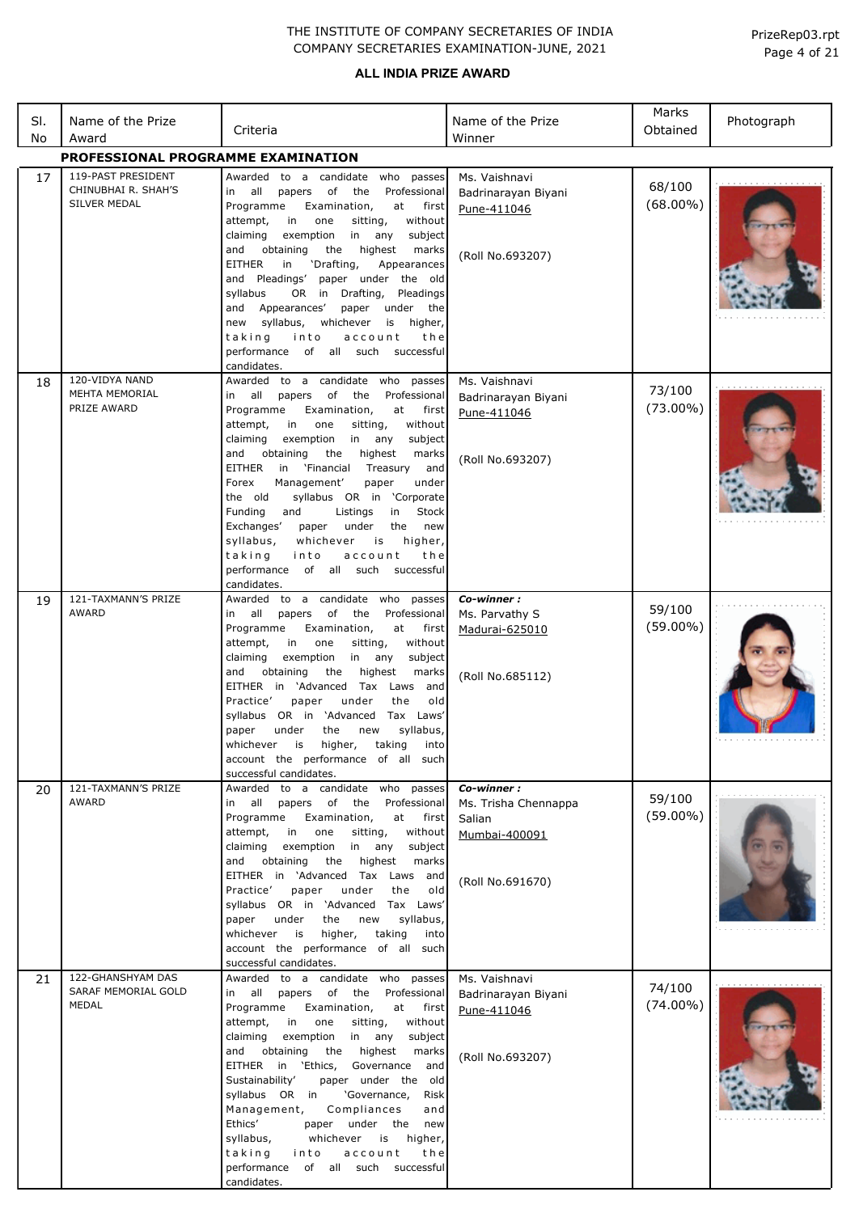| SI.<br>No | Name of the Prize<br>Award                                | Criteria                                                                                                                                                                                                                                                                                                                                                                                                                                                                                                                                                                                                                                   | Name of the Prize<br>Winner                                                       | Marks<br>Obtained     | Photograph |
|-----------|-----------------------------------------------------------|--------------------------------------------------------------------------------------------------------------------------------------------------------------------------------------------------------------------------------------------------------------------------------------------------------------------------------------------------------------------------------------------------------------------------------------------------------------------------------------------------------------------------------------------------------------------------------------------------------------------------------------------|-----------------------------------------------------------------------------------|-----------------------|------------|
|           | PROFESSIONAL PROGRAMME EXAMINATION                        |                                                                                                                                                                                                                                                                                                                                                                                                                                                                                                                                                                                                                                            |                                                                                   |                       |            |
| 17        | 119-PAST PRESIDENT<br>CHINUBHAI R. SHAH'S<br>SILVER MEDAL | Awarded to a candidate who passes<br>in all<br>papers of<br>the<br>Professional<br>Programme<br>Examination,<br>at<br>first<br>attempt,<br>sitting,<br>in<br>one<br>without<br>in<br>claiming<br>exemption<br>any<br>subject<br>and<br>obtaining<br>the<br>highest<br>marks<br><b>EITHER</b><br>'Drafting,<br>in<br>Appearances<br>and Pleadings'<br>paper under the old<br>OR in Drafting,<br>syllabus<br>Pleadings<br>and Appearances'<br>paper under the<br>new syllabus,<br>whichever<br>is higher,<br>account<br>taking<br>into<br>the<br>performance of all such successful<br>candidates.                                           | Ms. Vaishnavi<br>Badrinarayan Biyani<br>Pune-411046<br>(Roll No.693207)           | 68/100<br>$(68.00\%)$ |            |
| 18        | 120-VIDYA NAND<br><b>MEHTA MEMORIAL</b><br>PRIZE AWARD    | Awarded to a candidate who passes<br>in all<br>papers of<br>the<br>Professional<br>Programme<br>Examination,<br>at<br>first<br>without<br>attempt,<br>in<br>one<br>sitting,<br>claiming<br>exemption<br>in any<br>subject<br>the<br>highest<br>and<br>obtaining<br>marks<br>EITHER<br>in 'Financial<br>Treasury<br>and<br>Management'<br>Forex<br>paper<br>under<br>syllabus OR in 'Corporate<br>the old<br>Funding<br>Listings<br>and<br>in<br>Stock<br>Exchanges'<br>under<br>the<br>paper<br>new<br>syllabus,<br>whichever<br>is<br>higher,<br>taking<br>into<br>account<br>the<br>performance<br>of all such successful<br>candidates. | Ms. Vaishnavi<br>Badrinarayan Biyani<br>Pune-411046<br>(Roll No.693207)           | 73/100<br>$(73.00\%)$ |            |
| 19        | 121-TAXMANN'S PRIZE<br><b>AWARD</b>                       | Awarded to a candidate who passes<br>papers of the<br>Professional<br>in all<br>Programme<br>Examination,<br>at<br>first<br>attempt,<br>in<br>one<br>sitting,<br>without<br>exemption<br>claiming<br>in any<br>subject<br>and<br>obtaining<br>the<br>highest<br>marks<br>EITHER in 'Advanced Tax Laws and<br>Practice'<br>paper<br>under<br>old<br>the<br>syllabus OR in 'Advanced Tax Laws'<br>syllabus,<br>paper<br>under<br>the<br>new<br>whichever is<br>higher, taking<br>into<br>account the performance of all such<br>successful candidates.                                                                                       | Co-winner:<br>Ms. Parvathy S<br>Madurai-625010<br>(Roll No.685112)                | 59/100<br>$(59.00\%)$ |            |
| 20        | 121-TAXMANN'S PRIZE<br><b>AWARD</b>                       | to a candidate who passes<br>Awarded<br>papers of the<br>in all<br>Professional<br>Programme<br>Examination,<br>at first<br>attempt,<br>in<br>one<br>sitting,<br>without<br>claiming<br>exemption in any<br>subject<br>the<br>highest<br>and<br>obtaining<br>marks<br>EITHER in 'Advanced Tax Laws and<br>paper<br>under<br>Practice'<br>the<br>old<br>syllabus OR in 'Advanced Tax Laws'<br>paper<br>under<br>the<br>new<br>syllabus,<br>whichever is<br>higher,<br>taking<br>into<br>account the performance of all such<br>successful candidates.                                                                                       | Co-winner:<br>Ms. Trisha Chennappa<br>Salian<br>Mumbai-400091<br>(Roll No.691670) | 59/100<br>$(59.00\%)$ |            |
| 21        | 122-GHANSHYAM DAS<br>SARAF MEMORIAL GOLD<br>MEDAL         | Awarded to a candidate who passes<br>in all<br>papers of the<br>Professional<br>Programme<br>Examination,<br>at first<br>attempt,<br>in<br>one<br>sitting,<br>without<br>claiming<br>exemption<br>in any<br>subject<br>the<br>highest<br>and<br>obtaining<br>marks<br>EITHER in 'Ethics, Governance and<br>Sustainability'<br>paper under the old<br>syllabus OR in<br>'Governance,<br>Risk<br>Compliances<br>Management,<br>and<br>Ethics'<br>paper under the new<br>syllabus,<br>whichever<br>is<br>higher,<br>taking<br>into<br>account<br>the<br>performance<br>of all such successful<br>candidates.                                  | Ms. Vaishnavi<br>Badrinarayan Biyani<br>Pune-411046<br>(Roll No.693207)           | 74/100<br>$(74.00\%)$ |            |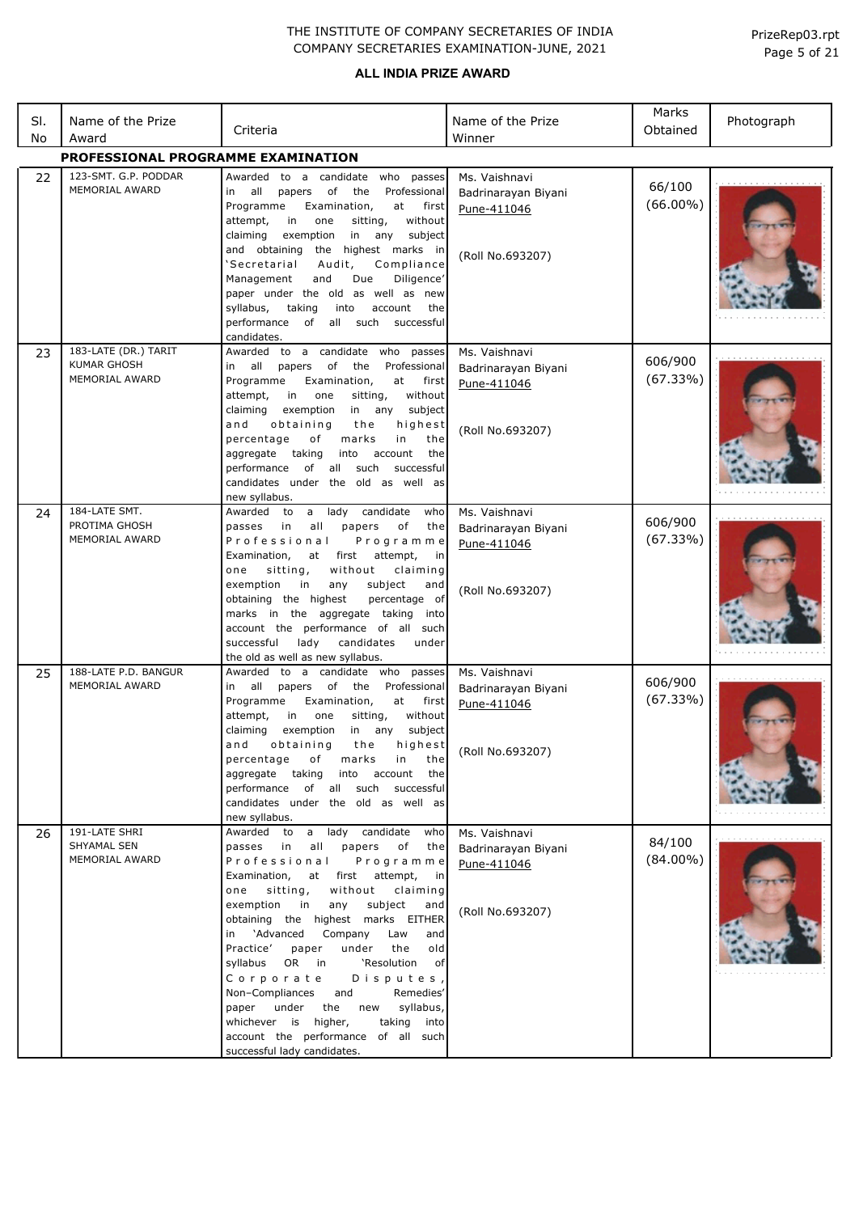| SI.<br>No | Name of the Prize<br>Award                                   | Criteria                                                                                                                                                                                                                                                                                                                                                                                                                                                                                                                                                                                                    | Name of the Prize<br>Winner                                             | Marks<br>Obtained     | Photograph |
|-----------|--------------------------------------------------------------|-------------------------------------------------------------------------------------------------------------------------------------------------------------------------------------------------------------------------------------------------------------------------------------------------------------------------------------------------------------------------------------------------------------------------------------------------------------------------------------------------------------------------------------------------------------------------------------------------------------|-------------------------------------------------------------------------|-----------------------|------------|
|           | PROFESSIONAL PROGRAMME EXAMINATION                           |                                                                                                                                                                                                                                                                                                                                                                                                                                                                                                                                                                                                             |                                                                         |                       |            |
| 22        | 123-SMT. G.P. PODDAR<br><b>MEMORIAL AWARD</b>                | Awarded to a candidate who passes<br>all<br>papers<br>of<br>the<br>Professional<br>in<br>Programme<br>Examination,<br>at<br>first<br>without<br>attempt,<br>in<br>one<br>sitting,<br>exemption<br>in any<br>subject<br>claiming<br>and obtaining<br>highest marks in<br>the<br>'Secretarial<br>Audit,<br>Compliance<br>Due<br>Diligence'<br>Management<br>and<br>paper under the old as well as new<br>syllabus,<br>taking<br>into<br>account<br>the<br>performance of all such successful<br>candidates.                                                                                                   | Ms. Vaishnavi<br>Badrinarayan Biyani<br>Pune-411046<br>(Roll No.693207) | 66/100<br>$(66.00\%)$ |            |
| 23        | 183-LATE (DR.) TARIT<br><b>KUMAR GHOSH</b><br>MEMORIAL AWARD | Awarded to a candidate who<br>passes<br>all<br>of<br>the<br>Professional<br>in<br>papers<br>Programme<br>Examination,<br>at<br>first<br>attempt,<br>in<br>one<br>sitting,<br>without<br>claiming<br>exemption<br>in any<br>subject<br>and<br>highest<br>obtaining<br>the<br>marks<br>in<br>percentage<br>оf<br>the<br>taking<br>the<br>aggregate<br>account<br>into<br>performance<br>of<br>all<br>such<br>successful<br>candidates under the old as well as<br>new syllabus.                                                                                                                               | Ms. Vaishnavi<br>Badrinarayan Biyani<br>Pune-411046<br>(Roll No.693207) | 606/900<br>(67.33%)   |            |
| 24        | 184-LATE SMT.<br>PROTIMA GHOSH<br><b>MEMORIAL AWARD</b>      | lady<br>candidate<br>Awarded<br>to<br>a<br>who<br>in<br>all<br>papers<br>оf<br>passes<br>the<br>Professional<br>Programme<br>first<br>attempt,<br>Examination,<br>at<br>in<br>without<br>sitting,<br>claiming<br>one<br>exemption<br>subject<br>in<br>any<br>and<br>percentage of<br>obtaining the highest<br>marks in the aggregate taking into<br>account the performance of all<br>such<br>successful<br>lady<br>candidates<br>under<br>the old as well as new syllabus.                                                                                                                                 | Ms. Vaishnavi<br>Badrinarayan Biyani<br>Pune-411046<br>(Roll No.693207) | 606/900<br>(67.33%)   |            |
| 25        | 188-LATE P.D. BANGUR<br>MEMORIAL AWARD                       | Awarded to a candidate who<br>passes<br>all<br>of<br>the<br>Professional<br>papers<br>in<br>Programme<br>Examination,<br>at<br>first<br>attempt,<br>in<br>one<br>sitting,<br>without<br>claiming<br>exemption<br>in any<br>subject<br>and obtaining<br>the highest<br>percentage<br>of<br>marks<br>in<br>the<br>aggregate taking into account the<br>performance of all such successful<br>candidates under the old as well as<br>new syllabus.                                                                                                                                                             | Ms. Vaishnavi<br>Badrinarayan Biyani<br>Pune-411046<br>(Roll No.693207) | 606/900<br>(67.33%)   |            |
| 26        | 191-LATE SHRI<br>SHYAMAL SEN<br>MEMORIAL AWARD               | Awarded to a lady candidate who<br>passes in all<br>papers<br>of<br>the<br>Professional<br>Programme<br>at first attempt, in<br>Examination,<br>without claiming<br>one<br>sitting,<br>exemption in<br>any<br>subject<br>and<br>obtaining the highest marks EITHER<br>in 'Advanced<br>Company<br>Law<br>and<br>Practice'<br>the<br>old<br>paper<br>under<br>syllabus OR in<br>'Resolution of<br>Corporate<br>Disputes,<br>Non-Compliances and<br>Remedies'<br>under the new syllabus,<br>paper<br>whichever is higher,<br>taking into<br>account the performance of all such<br>successful lady candidates. | Ms. Vaishnavi<br>Badrinarayan Biyani<br>Pune-411046<br>(Roll No.693207) | 84/100<br>$(84.00\%)$ |            |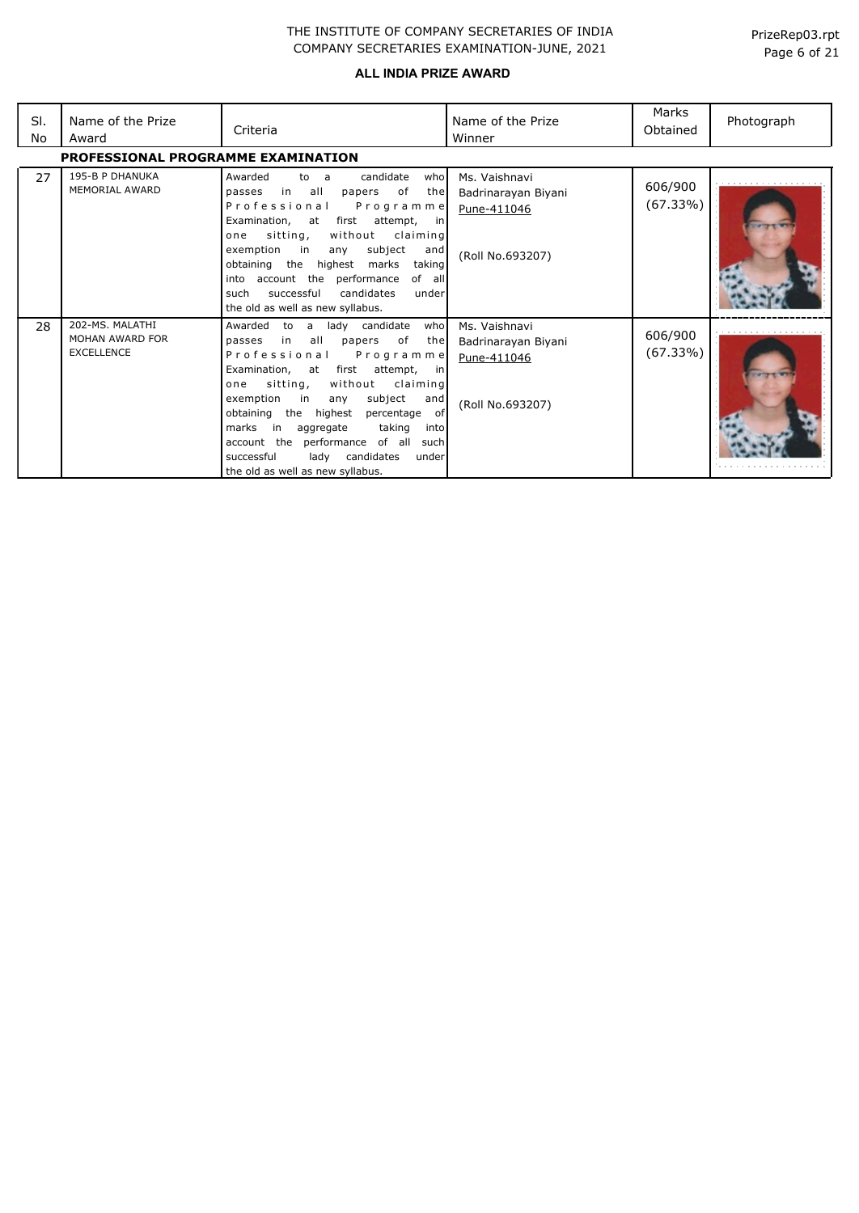| SI.<br>No | Name of the Prize<br>Award                              | Criteria                                                                                                                                                                                                                                                                                                                                                                                                                                                                  | Name of the Prize<br>Winner                                             | Marks<br>Obtained   | Photograph |
|-----------|---------------------------------------------------------|---------------------------------------------------------------------------------------------------------------------------------------------------------------------------------------------------------------------------------------------------------------------------------------------------------------------------------------------------------------------------------------------------------------------------------------------------------------------------|-------------------------------------------------------------------------|---------------------|------------|
|           | PROFESSIONAL PROGRAMME EXAMINATION                      |                                                                                                                                                                                                                                                                                                                                                                                                                                                                           |                                                                         |                     |            |
| 27        | 195-B P DHANUKA<br><b>MEMORIAL AWARD</b>                | Awarded<br>candidate<br>to a<br>who<br>in<br>all<br>of<br>papers<br>passes<br>the<br>Professional<br>Programme<br>first attempt,<br>Examination, at<br>in I<br>sitting,<br>without<br>claiming<br>one<br>exemption<br>subject<br>in<br>and<br>any<br>obtaining the highest marks<br>taking<br>into account the performance<br>of all<br>successful<br>candidates<br>such<br>under<br>the old as well as new syllabus.                                                     | Ms. Vaishnavi<br>Badrinarayan Biyani<br>Pune-411046<br>(Roll No.693207) | 606/900<br>(67.33%) |            |
| 28        | 202-MS, MALATHI<br>MOHAN AWARD FOR<br><b>EXCELLENCE</b> | Awarded<br>lady candidate<br>who<br>to<br>a a<br>all<br>of<br>in<br>papers<br>the<br>passes<br>Professional<br>Programme<br>Examination, at first<br>attempt,<br>in in<br>sitting,<br>without claiming<br>one<br>exemption<br>in<br>subject<br>and<br>any<br>obtaining the highest<br>percentage of<br>in<br>taking<br>marks<br>aggregate<br>into<br>account the performance of all<br>such<br>lady candidates<br>successful<br>under<br>the old as well as new syllabus. | Ms. Vaishnavi<br>Badrinarayan Biyani<br>Pune-411046<br>(Roll No.693207) | 606/900<br>(67.33%) |            |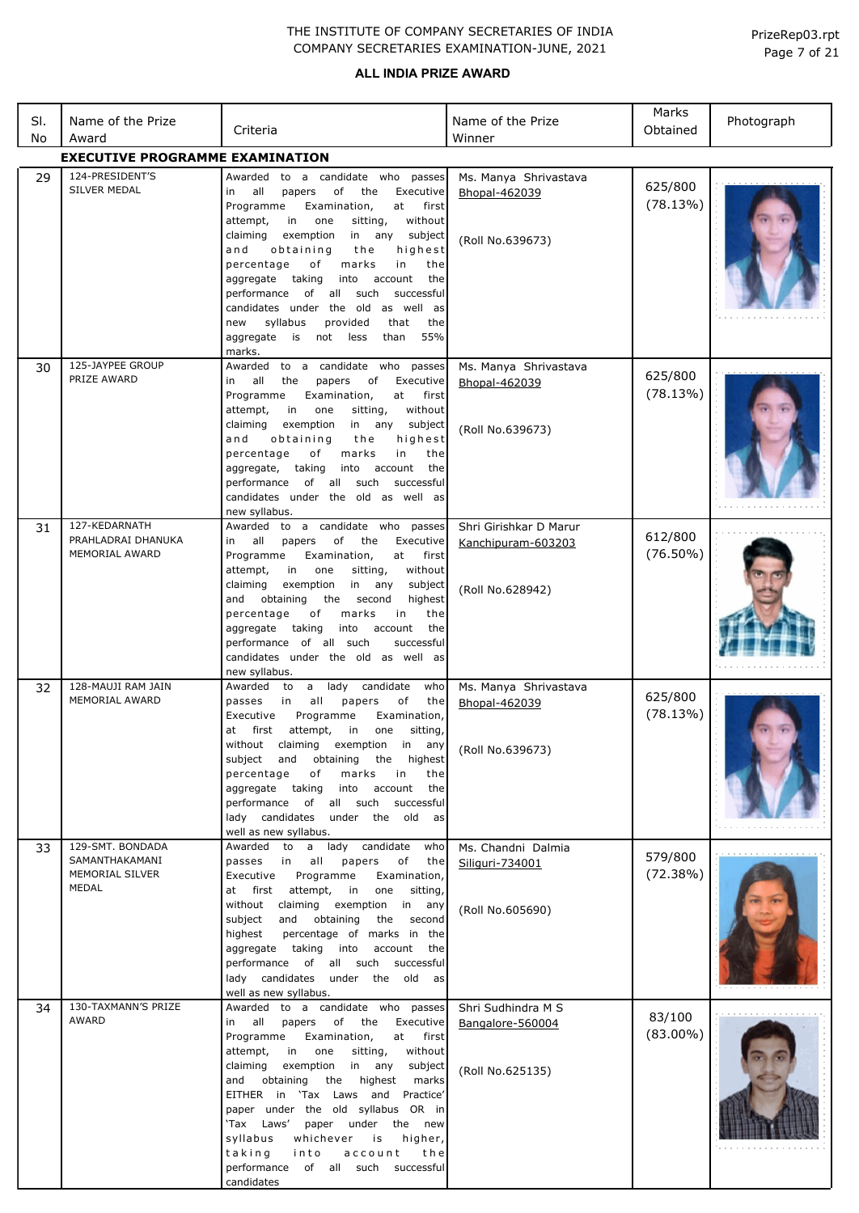| SI.<br>No | Name of the Prize<br>Award                                            | Criteria                                                                                                                                                                                                                                                                                                                                                                                                                                                                                                                                | Name of the Prize<br>Winner                                      | Marks<br>Obtained      | Photograph |
|-----------|-----------------------------------------------------------------------|-----------------------------------------------------------------------------------------------------------------------------------------------------------------------------------------------------------------------------------------------------------------------------------------------------------------------------------------------------------------------------------------------------------------------------------------------------------------------------------------------------------------------------------------|------------------------------------------------------------------|------------------------|------------|
|           | <b>EXECUTIVE PROGRAMME EXAMINATION</b>                                |                                                                                                                                                                                                                                                                                                                                                                                                                                                                                                                                         |                                                                  |                        |            |
| 29        | 124-PRESIDENT'S<br>SILVER MEDAL                                       | Awarded to a candidate who passes<br>in all<br>papers<br>of<br>the<br>Executive<br>Examination,<br>Programme<br>at<br>first<br>sitting,<br>without<br>attempt,<br>in<br>one<br>claiming<br>exemption<br>in any<br>subject<br>and<br>obtaining<br>the<br>highest<br>marks<br>percentage<br>of<br>in<br>the<br>the<br>aggregate taking<br>into<br>account<br>performance of all such<br>successful<br>candidates under the old as well as<br>syllabus<br>provided<br>the<br>new<br>that<br>aggregate is not less<br>55%<br>than<br>marks. | Ms. Manya Shrivastava<br>Bhopal-462039<br>(Roll No.639673)       | 625/800<br>(78.13%)    |            |
| 30        | 125-JAYPEE GROUP<br>PRIZE AWARD                                       | Awarded to a candidate who passes<br>the<br>of<br>Executive<br>in all<br>papers<br>Programme<br>Examination,<br>at<br>first<br>without<br>attempt,<br>in<br>one<br>sitting,<br>claiming<br>exemption<br>in any subject<br>and<br>obtaining<br>highest<br>the<br>of<br>marks<br>in<br>percentage<br>the<br>taking<br>aggregate,<br>into account<br>the<br>of all such<br>performance<br>successful<br>candidates under the old as well as<br>new syllabus.                                                                               | Ms. Manya Shrivastava<br>Bhopal-462039<br>(Roll No.639673)       | 625/800<br>(78.13%)    |            |
| 31        | 127-KEDARNATH<br>PRAHLADRAI DHANUKA<br><b>MEMORIAL AWARD</b>          | Awarded to a candidate who passes<br>all<br>papers<br>of<br>the<br>Executive<br>in<br>Examination,<br>first<br>Programme<br>at<br>without<br>attempt,<br>in<br>one<br>sitting,<br>claiming<br>exemption<br>in any<br>subject<br>and obtaining<br>highest<br>the second<br>of<br>marks<br>percentage<br>in<br>the<br>taking<br>into<br>aggregate<br>account<br>the<br>performance of all such<br>successful<br>candidates under the old as well as<br>new syllabus.                                                                      | Shri Girishkar D Marur<br>Kanchipuram-603203<br>(Roll No.628942) | 612/800<br>$(76.50\%)$ |            |
| 32        | 128-MAUJI RAM JAIN<br>MEMORIAL AWARD                                  | Awarded to a lady candidate<br>who<br>all<br>of<br>passes<br>in<br>papers<br>the<br>Executive<br>Programme<br>Examination,<br>at first attempt, in<br>one sitting,<br>without claiming exemption in any<br>subject and obtaining the highest<br>percentage<br>of<br>marks<br>in<br>the<br>aggregate taking<br>into<br>account<br>the<br>performance of all such successful<br>lady candidates under the old as<br>well as new syllabus.                                                                                                 | Ms. Manya Shrivastava<br>Bhopal-462039<br>(Roll No.639673)       | 625/800<br>(78.13%)    |            |
| 33        | 129-SMT. BONDADA<br>SAMANTHAKAMANI<br>MEMORIAL SILVER<br><b>MEDAL</b> | lady candidate<br>Awarded to a<br>who<br>passes in<br>all<br>papers<br>of<br>the<br>Programme<br>Executive<br>Examination,<br>at first<br>attempt,<br>in<br>one<br>sitting,<br>without<br>claiming exemption<br>in any<br>and<br>obtaining<br>subject<br>the<br>second<br>highest<br>percentage of marks in the<br>aggregate taking<br>into<br>account the<br>performance of all such successful<br>lady candidates under the old as<br>well as new syllabus.                                                                           | Ms. Chandni Dalmia<br>Siliguri-734001<br>(Roll No.605690)        | 579/800<br>(72.38%)    |            |
| 34        | 130-TAXMANN'S PRIZE<br><b>AWARD</b>                                   | Awarded to a candidate who passes<br>in all<br>papers of the<br>Executive<br>Examination,<br>Programme<br>at first<br>attempt,<br>in<br>one<br>sitting,<br>without<br>in any<br>claiming<br>exemption<br>subject<br>the highest<br>and obtaining<br>marks<br>EITHER in 'Tax Laws and<br>Practice'<br>paper under the old syllabus OR in<br>'Tax Laws'<br>paper under the new<br>syllabus<br>whichever<br>higher,<br>is<br>taking<br>account<br>into<br>the<br>performance of all such<br>successful<br>candidates                       | Shri Sudhindra M S<br>Bangalore-560004<br>(Roll No.625135)       | 83/100<br>$(83.00\%)$  |            |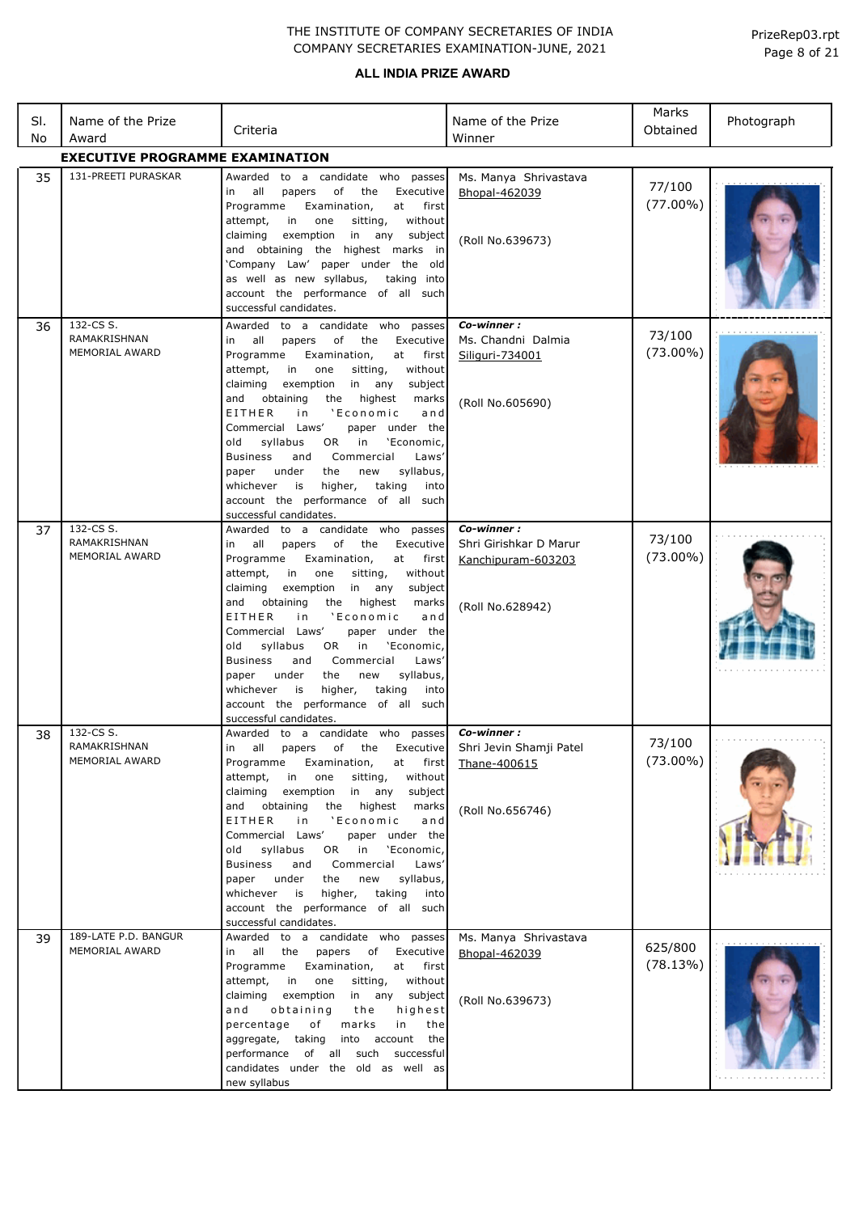|     |                                                    |                                                                                                                                                                                                                                                                                                                                                                                                                                                                                                                                                                                                              |                                                                                | Marks                 |            |
|-----|----------------------------------------------------|--------------------------------------------------------------------------------------------------------------------------------------------------------------------------------------------------------------------------------------------------------------------------------------------------------------------------------------------------------------------------------------------------------------------------------------------------------------------------------------------------------------------------------------------------------------------------------------------------------------|--------------------------------------------------------------------------------|-----------------------|------------|
| SI. | Name of the Prize                                  | Criteria                                                                                                                                                                                                                                                                                                                                                                                                                                                                                                                                                                                                     | Name of the Prize                                                              | Obtained              | Photograph |
| No  | Award<br><b>EXECUTIVE PROGRAMME EXAMINATION</b>    |                                                                                                                                                                                                                                                                                                                                                                                                                                                                                                                                                                                                              | Winner                                                                         |                       |            |
| 35  | 131-PREETI PURASKAR                                | Awarded to a candidate who passes                                                                                                                                                                                                                                                                                                                                                                                                                                                                                                                                                                            | Ms. Manya Shrivastava                                                          |                       |            |
|     |                                                    | in all<br>papers<br>of<br>the<br>Executive<br>Examination,<br>Programme<br>at<br>first<br>attempt,<br>in<br>one<br>sitting,<br>without<br>exemption<br>in any subject<br>claiming<br>and obtaining the highest marks in<br>'Company Law' paper under the old<br>as well as new syllabus,<br>taking into<br>account the performance of all such<br>successful candidates.                                                                                                                                                                                                                                     | Bhopal-462039<br>(Roll No.639673)                                              | 77/100<br>$(77.00\%)$ |            |
| 36  | 132-CS S.<br>RAMAKRISHNAN<br>MEMORIAL AWARD        | Awarded to a candidate who passes<br>in all<br>of<br>Executive<br>papers<br>the<br>Programme<br>Examination,<br>at<br>first<br>attempt,<br>in<br>one<br>sitting,<br>without<br>claiming<br>exemption<br>in any<br>subject<br>the highest<br>and<br>obtaining<br>marks<br>EITHER<br>'Economic<br>in<br>and<br>Commercial Laws'<br>paper under the<br>syllabus<br>old<br>OR<br>in<br>'Economic,<br><b>Business</b><br>Commercial<br>Laws'<br>and<br>under<br>the<br>new<br>syllabus,<br>paper<br>taking<br>whichever<br>is<br>higher,<br>into<br>account the performance of all such<br>successful candidates. | Co-winner:<br>Ms. Chandni Dalmia<br>Siliguri-734001<br>(Roll No.605690)        | 73/100<br>$(73.00\%)$ |            |
| 37  | 132-CS S.<br>RAMAKRISHNAN<br><b>MEMORIAL AWARD</b> | Awarded to a candidate who passes<br>in all<br>of the<br>Executive<br>papers<br>Programme<br>Examination,<br>first<br>at<br>attempt,<br>in one<br>sitting,<br>without<br>claiming<br>exemption<br>in any<br>subject<br>obtaining<br>the highest<br>marks<br>and<br>EITHER<br>'Economic<br>i n<br>and<br>Commercial Laws'<br>paper under the<br>syllabus<br>OR.<br>in<br>'Economic,<br>old<br>Commercial<br><b>Business</b><br>Laws'<br>and<br>syllabus,<br>under<br>the<br>new<br>paper<br>whichever<br>is<br>higher,<br>taking<br>into<br>account the performance of all such<br>successful candidates.     | Co-winner:<br>Shri Girishkar D Marur<br>Kanchipuram-603203<br>(Roll No.628942) | 73/100<br>$(73.00\%)$ |            |
| 38  | 132-CS S.<br>RAMAKRISHNAN<br>MEMORIAL AWARD        | Awarded to a candidate who passes<br>in all papers of the Executive<br>Programme<br>Examination,<br>at first<br>attempt,<br>in one<br>without<br>sitting,<br>exemption in any<br>subject<br>claiming<br>the highest<br>marks<br>and obtaining<br>'Economic<br>EITHER<br>i n<br>and<br>Commercial Laws'<br>paper under the<br>OR in<br>old syllabus<br>'Economic,<br>Business<br>Commercial<br>Laws'<br>and<br>under<br>syllabus,<br>paper<br>the<br>new<br>whichever<br>is<br>higher, taking<br>into<br>account the performance of all such<br>successful candidates.                                        | Co-winner:<br>Shri Jevin Shamji Patel<br>Thane-400615<br>(Roll No.656746)      | 73/100<br>$(73.00\%)$ |            |
| 39  | 189-LATE P.D. BANGUR<br>MEMORIAL AWARD             | Awarded to a candidate who passes<br>papers of Executive<br>in all the<br>Programme<br>Examination,<br>at<br>first<br>attempt,<br>in one<br>sitting,<br>without<br>claiming exemption<br>in any subject<br>highest<br>and<br>obtaining<br>the<br>in<br>percentage<br>of<br>marks<br>the<br>into account<br>aggregate, taking<br>the<br>performance of all such successful<br>candidates under the old as well as<br>new syllabus                                                                                                                                                                             | Ms. Manya Shrivastava<br>Bhopal-462039<br>(Roll No.639673)                     | 625/800<br>(78.13%)   |            |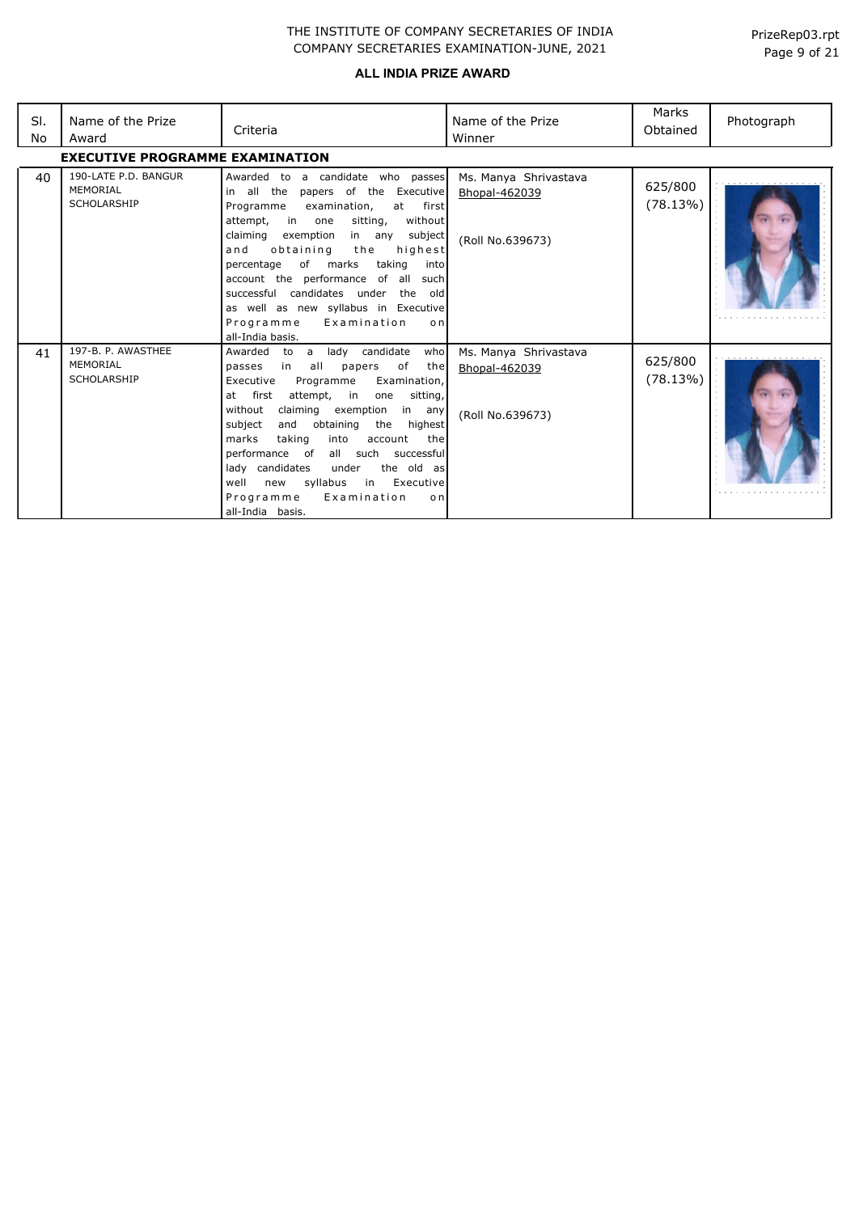| SI.<br>No | Name of the Prize<br>Award                             | Criteria                                                                                                                                                                                                                                                                                                                                                                                                                                                                                               | Name of the Prize<br>Winner                                | Marks<br>Obtained   | Photograph |
|-----------|--------------------------------------------------------|--------------------------------------------------------------------------------------------------------------------------------------------------------------------------------------------------------------------------------------------------------------------------------------------------------------------------------------------------------------------------------------------------------------------------------------------------------------------------------------------------------|------------------------------------------------------------|---------------------|------------|
|           | <b>EXECUTIVE PROGRAMME EXAMINATION</b>                 |                                                                                                                                                                                                                                                                                                                                                                                                                                                                                                        |                                                            |                     |            |
| 40        | 190-LATE P.D. BANGUR<br>MEMORIAL<br><b>SCHOLARSHIP</b> | Awarded to a candidate who passes<br>papers of the Executive<br>in all the<br>examination,<br>Programme<br>first<br>at<br>attempt, in one<br>sitting,<br>without<br>claiming<br>subject<br>exemption<br>in any<br>the<br>highest<br>and<br>obtaining<br>taking<br>of marks<br>percentage<br>into<br>account the performance of all<br>suchl<br>successful candidates under the<br>old<br>as well as new syllabus in Executive<br>Programme<br>Examination<br>o <sub>n</sub><br>all-India basis.        | Ms. Manya Shrivastava<br>Bhopal-462039<br>(Roll No.639673) | 625/800<br>(78.13%) |            |
| 41        | 197-B. P. AWASTHEE<br>MEMORIAL<br><b>SCHOLARSHIP</b>   | lady candidate<br>Awarded to a<br>who<br>in all<br>of<br>passes<br>papers<br>the<br>Executive<br>Programme<br>Examination,<br>at first<br>attempt, in<br>sitting,<br>one<br>without<br>claiming exemption in any<br>obtaining<br>subject<br>and<br>the<br>highest<br>marks<br>taking<br>into<br>account<br>the<br>performance of<br>all such<br>successful<br>lady candidates<br>under<br>the old as<br>syllabus<br>in Executive<br>well<br>new<br>Examination<br>Programme<br>o n<br>all-India basis. | Ms. Manya Shrivastava<br>Bhopal-462039<br>(Roll No.639673) | 625/800<br>(78.13%) |            |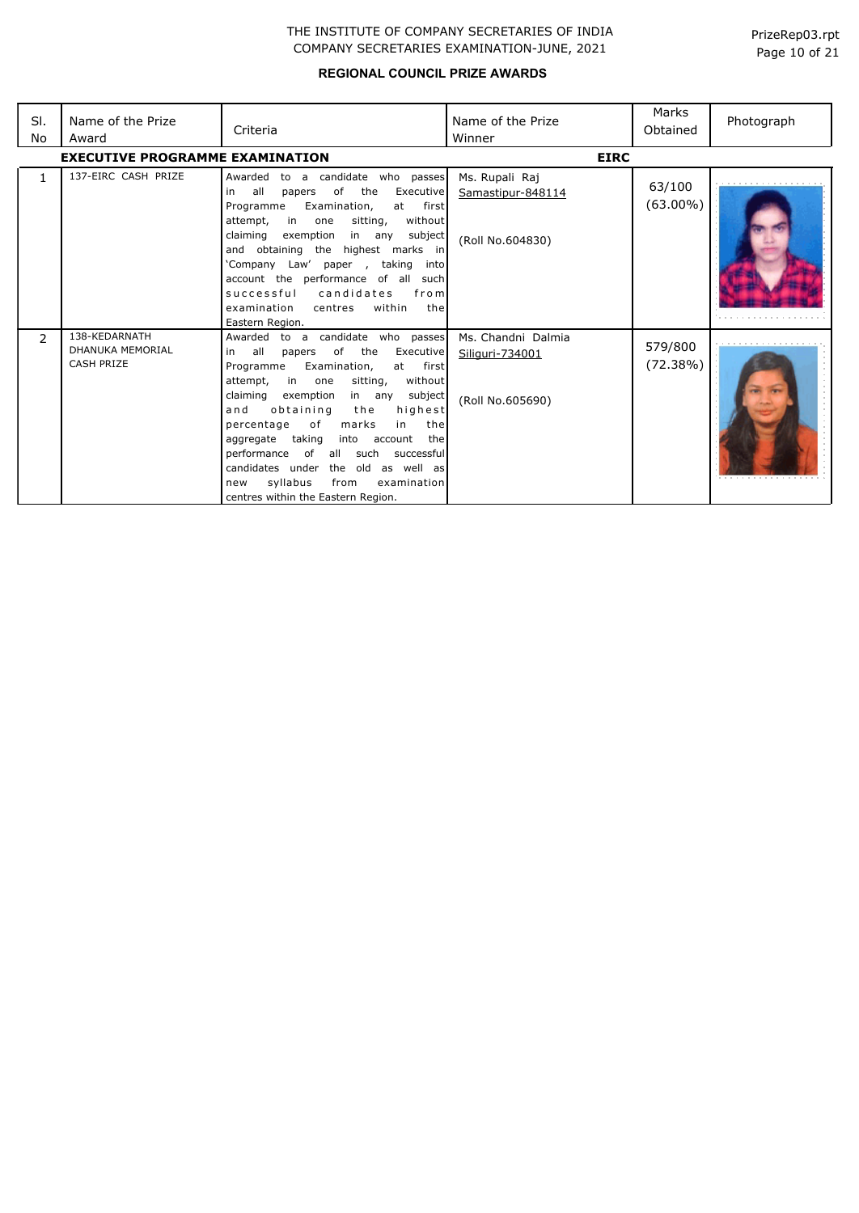| SI.<br>No    | Name of the Prize<br>Award                             | Criteria                                                                                                                                                                                                                                                                                                                                                                                                                                                                                                                | Name of the Prize<br>Winner                               | Marks<br>Obtained     | Photograph |
|--------------|--------------------------------------------------------|-------------------------------------------------------------------------------------------------------------------------------------------------------------------------------------------------------------------------------------------------------------------------------------------------------------------------------------------------------------------------------------------------------------------------------------------------------------------------------------------------------------------------|-----------------------------------------------------------|-----------------------|------------|
|              | <b>EXECUTIVE PROGRAMME EXAMINATION</b>                 |                                                                                                                                                                                                                                                                                                                                                                                                                                                                                                                         | <b>EIRC</b>                                               |                       |            |
| $\mathbf{1}$ | 137-EIRC CASH PRIZE                                    | Awarded to a candidate who passes<br>all<br>of<br>the<br>Executive<br>papers<br>in<br>Examination,<br>Programme<br>first<br>at<br>in<br>sitting,<br>without<br>attempt,<br>one<br>subject<br>claiming<br>exemption<br>in any<br>the highest marks in<br>and obtaining<br>'Company Law' paper, taking<br>into<br>account the performance of all such<br>successful candidates<br>from<br>within<br>examination<br>the<br>centres<br>Eastern Region.                                                                      | Ms. Rupali Raj<br>Samastipur-848114<br>(Roll No.604830)   | 63/100<br>$(63.00\%)$ |            |
| 2            | 138-KEDARNATH<br>DHANUKA MEMORIAL<br><b>CASH PRIZE</b> | Awarded to a candidate who passes<br>all<br>of<br>the<br>Executive<br>papers<br>in<br>Programme<br>Examination,<br>first<br>at<br>attempt,<br>in one<br>sitting,<br>without<br>claiming<br>exemption<br>in any<br>subject<br>obtaining<br>highest<br>and<br>the<br>of<br>the<br>percentage<br>marks<br>in<br>aggregate taking<br>into<br>account<br>the<br>performance of all such<br>successful<br>candidates under the old as well as<br>syllabus<br>examination<br>from<br>new<br>centres within the Eastern Region. | Ms. Chandni Dalmia<br>Siliguri-734001<br>(Roll No.605690) | 579/800<br>(72.38%)   |            |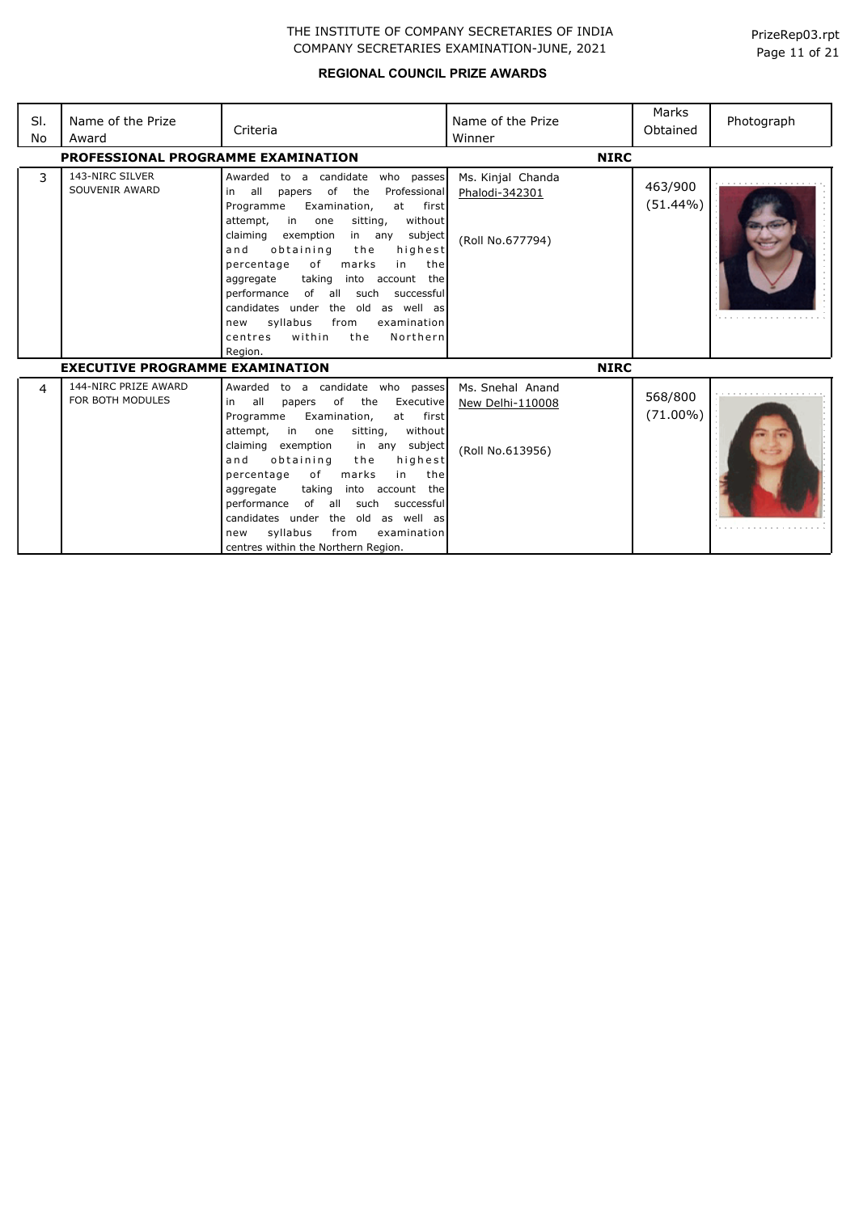| SI.<br>No | Name of the Prize<br>Award               | Criteria                                                                                                                                                                                                                                                                                                                                                                                                                                                                                                                                      | Name of the Prize<br>Winner                              | Marks<br>Obtained      | Photograph |
|-----------|------------------------------------------|-----------------------------------------------------------------------------------------------------------------------------------------------------------------------------------------------------------------------------------------------------------------------------------------------------------------------------------------------------------------------------------------------------------------------------------------------------------------------------------------------------------------------------------------------|----------------------------------------------------------|------------------------|------------|
|           | PROFESSIONAL PROGRAMME EXAMINATION       |                                                                                                                                                                                                                                                                                                                                                                                                                                                                                                                                               | <b>NIRC</b>                                              |                        |            |
| 3         | 143-NIRC SILVER<br>SOUVENIR AWARD        | Awarded to a candidate who passes<br>of<br>all<br>the<br>Professional<br>in<br>papers<br>Examination,<br>first<br>Programme<br>at<br>in<br>sitting,<br>without<br>attempt,<br>one<br>claiming<br>exemption<br>subject<br>in any<br>and<br>obtaining<br>highest<br>the<br>of<br>marks<br>in<br>the<br>percentage<br>taking<br>into account the<br>aggregate<br>of all such<br>performance<br>successful<br>candidates under<br>the old as well as<br>syllabus<br>from<br>examination<br>new<br>within<br>Northern<br>the<br>centres<br>Region. | Ms. Kinjal Chanda<br>Phalodi-342301<br>(Roll No.677794)  | 463/900<br>$(51.44\%)$ |            |
|           | <b>EXECUTIVE PROGRAMME EXAMINATION</b>   |                                                                                                                                                                                                                                                                                                                                                                                                                                                                                                                                               | <b>NIRC</b>                                              |                        |            |
| 4         | 144-NIRC PRIZE AWARD<br>FOR BOTH MODULES | Awarded to a candidate who passes<br>all<br>of<br>the<br>Executive<br>in<br>papers<br>Programme<br>Examination,<br>at<br>first<br>without<br>attempt,<br>in<br>sitting,<br>one<br>in any subject<br>claiming<br>exemption<br>highest<br>and<br>obtaining<br>the<br>of<br>marks<br>the<br>percentage<br>in<br>taking<br>account the<br>into<br>aggregate<br>of all<br>such<br>performance<br>successful<br>candidates under the old as well as<br>syllabus<br>from<br>examination<br>new<br>centres within the Northern Region.                | Ms. Snehal Anand<br>New Delhi-110008<br>(Roll No.613956) | 568/800<br>$(71.00\%)$ |            |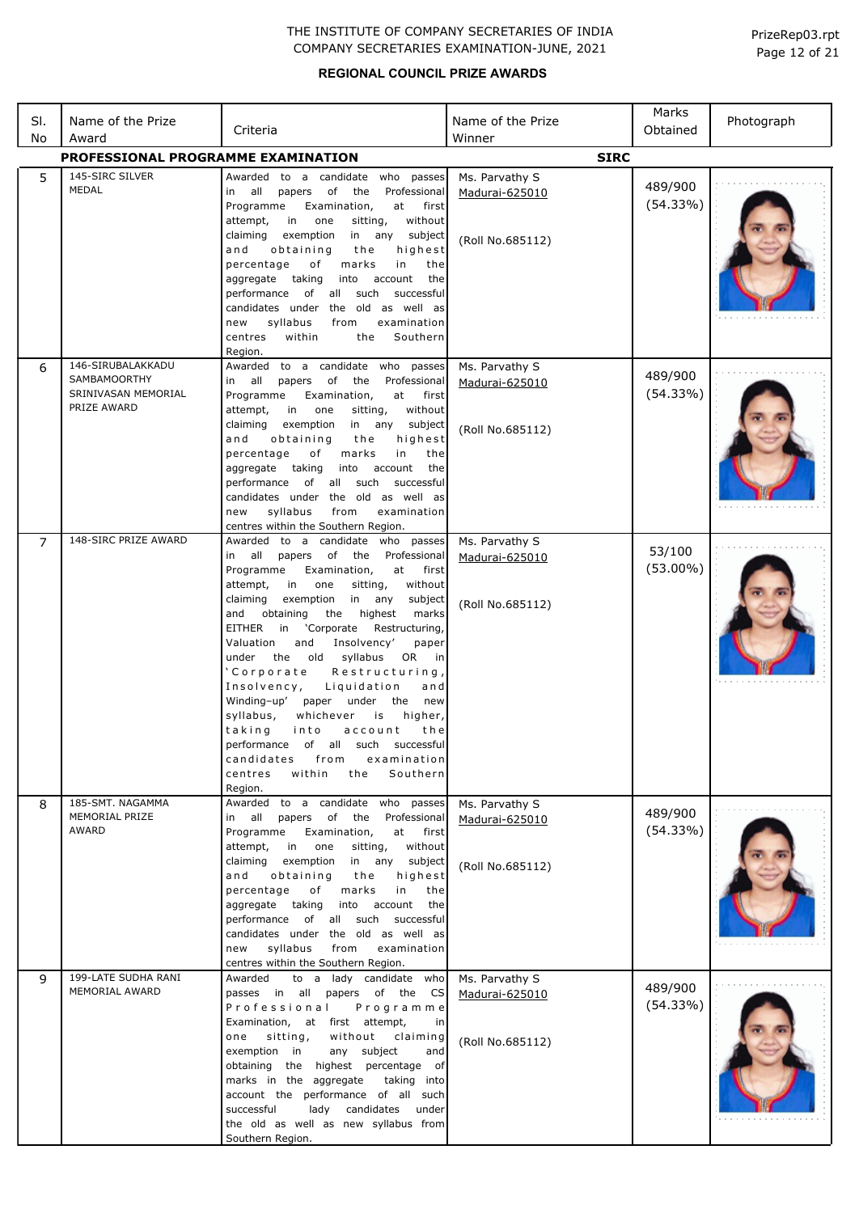## **REGIONAL COUNCIL PRIZE AWARDS**

Page 12 of 21 PrizeRep03.rpt

| SI.<br>No      | Name of the Prize<br>Award                                                     | Criteria                                                                                                                                                                                                                                                                                                                                                                                                                                                                                                                                                                                                                                                                                                                               | Name of the Prize<br>Winner                          | Marks<br>Obtained     | Photograph |
|----------------|--------------------------------------------------------------------------------|----------------------------------------------------------------------------------------------------------------------------------------------------------------------------------------------------------------------------------------------------------------------------------------------------------------------------------------------------------------------------------------------------------------------------------------------------------------------------------------------------------------------------------------------------------------------------------------------------------------------------------------------------------------------------------------------------------------------------------------|------------------------------------------------------|-----------------------|------------|
|                | PROFESSIONAL PROGRAMME EXAMINATION                                             |                                                                                                                                                                                                                                                                                                                                                                                                                                                                                                                                                                                                                                                                                                                                        | <b>SIRC</b>                                          |                       |            |
| 5              | 145-SIRC SILVER<br>MEDAL                                                       | Awarded to a candidate who passes<br>in all<br>papers<br>of<br>the<br>Professional<br>Programme<br>Examination,<br>at<br>first<br>in<br>without<br>attempt,<br>one<br>sitting,<br>in any<br>claiming<br>exemption<br>subject<br>obtaining<br>highest<br>and<br>the<br>percentage<br>marks<br>in<br>of<br>the<br>into<br>account<br>aggregate taking<br>the<br>of all such<br>performance<br>successful<br>candidates under the old as well as<br>syllabus<br>examination<br>new<br>from<br>Southern<br>within<br>the<br>centres                                                                                                                                                                                                        | Ms. Parvathy S<br>Madurai-625010<br>(Roll No.685112) | 489/900<br>(54.33%)   |            |
| 6              | 146-SIRUBALAKKADU<br><b>SAMBAMOORTHY</b><br>SRINIVASAN MEMORIAL<br>PRIZE AWARD | Region.<br>Awarded to a candidate who passes<br>all<br>of<br>the<br>Professional<br>papers<br>in<br>Programme<br>Examination,<br>at first<br>in<br>without<br>attempt,<br>one<br>sitting,<br>exemption<br>claiming<br>in<br>any<br>subject<br>obtaining<br>highest<br>and<br>the<br>percentage<br>of<br>marks<br>in<br>the<br>aggregate taking<br>into<br>account<br>the<br>performance of all such<br>successful<br>candidates under the old as well as<br>syllabus<br>from<br>examination<br>new<br>centres within the Southern Region.                                                                                                                                                                                              | Ms. Parvathy S<br>Madurai-625010<br>(Roll No.685112) | 489/900<br>(54.33%)   |            |
| $\overline{7}$ | 148-SIRC PRIZE AWARD                                                           | Awarded<br>to a candidate who passes<br>in all<br>papers of the Professional<br>Programme<br>Examination,<br>at<br>first<br>in<br>one<br>sitting,<br>without<br>attempt,<br>exemption<br>claiming<br>in<br>any<br>subject<br>obtaining<br>the<br>highest<br>and<br>marks<br>EITHER<br>'Corporate<br>Restructuring,<br>in<br>and<br>Insolvency'<br>Valuation<br>paper<br>the old<br>syllabus<br>OR<br>under<br>in<br>'Corporate<br>Restructuring,<br>Liquidation<br>Insolvency,<br>and<br>Winding-up'<br>paper<br>under<br>the<br>new<br>syllabus,<br>whichever<br>higher,<br>is<br>taking<br>into<br>account<br>the<br>performance of all such successful<br>candidates<br>from<br>examination<br>Southern<br>centres<br>within<br>the | Ms. Parvathy S<br>Madurai-625010<br>(Roll No.685112) | 53/100<br>$(53.00\%)$ |            |
| 8              | 185-SMT. NAGAMMA<br>MEMORIAL PRIZE<br>AWARD                                    | Region.<br>Awarded to a candidate who passes<br>in all papers of the Professional<br>Programme<br>Examination,<br>at first<br>attempt,<br>in one<br>sitting,<br>without<br>claiming<br>exemption in any subject<br>obtaining<br>highest<br>and<br>the<br>percentage<br>marks<br>of<br>in<br>the<br>aggregate taking into account<br>the<br>performance of all such successful<br>candidates under the old as well as<br>syllabus<br>examination<br>new<br>from<br>centres within the Southern Region.                                                                                                                                                                                                                                  | Ms. Parvathy S<br>Madurai-625010<br>(Roll No.685112) | 489/900<br>(54.33%)   |            |
| 9              | 199-LATE SUDHA RANI<br>MEMORIAL AWARD                                          | to a lady candidate who<br>Awarded<br>passes in all papers of the CS<br>Professional<br>Programme<br>Examination, at first attempt,<br>in<br>one sitting,<br>without<br>claiming<br>exemption in<br>any subject<br>and<br>obtaining the highest percentage of<br>marks in the aggregate<br>taking into<br>account the performance of all such<br>successful<br>lady<br>candidates under<br>the old as well as new syllabus from<br>Southern Region.                                                                                                                                                                                                                                                                                    | Ms. Parvathy S<br>Madurai-625010<br>(Roll No.685112) | 489/900<br>(54.33%)   |            |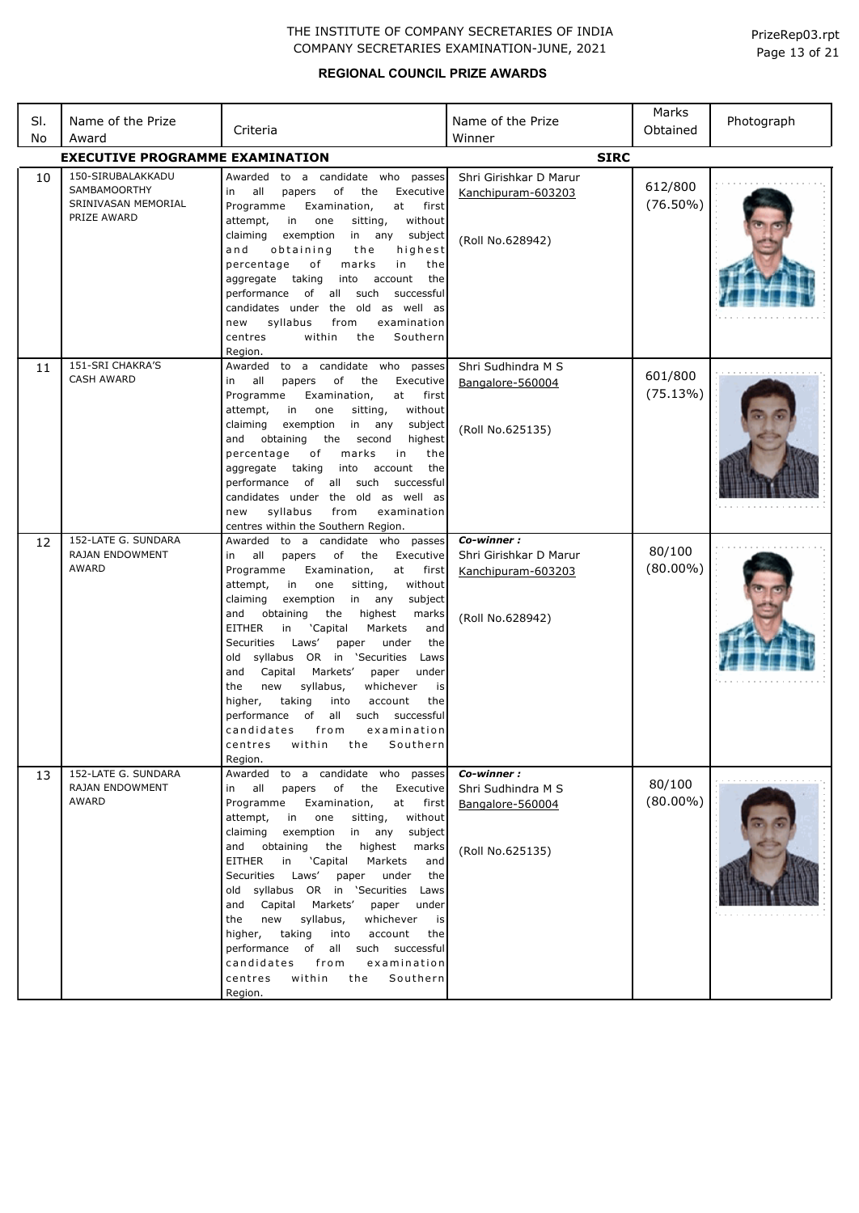## **REGIONAL COUNCIL PRIZE AWARDS**

Page 13 of 21 PrizeRep03.rpt

| SI.<br>No | Name of the Prize<br>Award                                                     | Criteria                                                                                                                                                                                                                                                                                                                                                                                                                                                                                                                                                                                                                                                                                              | Name of the Prize<br>Winner                                                    | Marks<br>Obtained      | Photograph |
|-----------|--------------------------------------------------------------------------------|-------------------------------------------------------------------------------------------------------------------------------------------------------------------------------------------------------------------------------------------------------------------------------------------------------------------------------------------------------------------------------------------------------------------------------------------------------------------------------------------------------------------------------------------------------------------------------------------------------------------------------------------------------------------------------------------------------|--------------------------------------------------------------------------------|------------------------|------------|
|           | <b>EXECUTIVE PROGRAMME EXAMINATION</b>                                         |                                                                                                                                                                                                                                                                                                                                                                                                                                                                                                                                                                                                                                                                                                       | <b>SIRC</b>                                                                    |                        |            |
| 10        | 150-SIRUBALAKKADU<br><b>SAMBAMOORTHY</b><br>SRINIVASAN MEMORIAL<br>PRIZE AWARD | to a candidate who passes<br>Awarded<br>all<br>of<br>Executive<br>papers<br>the<br>in<br>Programme<br>Examination,<br>at<br>first<br>in<br>one<br>attempt,<br>sitting,<br>without<br>claiming<br>exemption<br>in any<br>subject<br>obtaining<br>highest<br>and<br>the<br>percentage<br>marks<br>of<br>in<br>the<br>aggregate taking<br>into<br>account<br>the<br>performance<br>of all<br>such<br>successful<br>candidates under the old as well as<br>syllabus<br>examination<br>new<br>from                                                                                                                                                                                                         | Shri Girishkar D Marur<br>Kanchipuram-603203<br>(Roll No.628942)               | 612/800<br>$(76.50\%)$ |            |
| 11        | 151-SRI CHAKRA'S<br><b>CASH AWARD</b>                                          | within<br>Southern<br>centres<br>the<br>Region.<br>to a candidate who passes<br>Awarded<br>of<br>all<br>papers<br>the<br>Executive<br>in<br>Examination,<br>Programme<br>at<br>first<br>in<br>without<br>attempt,<br>one<br>sitting,<br>claiming<br>exemption<br>in any<br>subject<br>obtaining<br>the<br>and<br>second<br>highest<br>percentage<br>оf<br>marks<br>in<br>the<br>aggregate taking<br>account<br>into<br>the<br>performance of all such<br>successful<br>candidates under the old as well as<br>syllabus<br>examination<br>new<br>from<br>centres within the Southern Region.                                                                                                           | Shri Sudhindra M S<br>Bangalore-560004<br>(Roll No.625135)                     | 601/800<br>(75.13%)    |            |
| 12        | 152-LATE G. SUNDARA<br>RAJAN ENDOWMENT<br>AWARD                                | Awarded<br>to a candidate who passes<br>all<br>of the<br>Executive<br>papers<br>in<br>Programme<br>Examination,<br>at<br>first<br>in<br>sitting,<br>without<br>attempt,<br>one<br>exemption<br>claiming<br>in any<br>subject<br>obtaining<br>and<br>the<br>highest<br>marks<br><b>EITHER</b><br>in<br>'Capital<br>Markets<br>and<br>Securities Laws'<br>under<br>paper<br>the<br>old syllabus OR in 'Securities Laws<br>Capital Markets'<br>and<br>paper<br>under<br>syllabus,<br>whichever<br>the<br>new<br>is<br>higher,<br>taking<br>into<br>account<br>the<br>all such successful<br>performance<br>of<br>candidates<br>examination<br>from<br>within<br>Southern<br>centres<br>the<br>Region.    | Co-winner:<br>Shri Girishkar D Marur<br>Kanchipuram-603203<br>(Roll No.628942) | 80/100<br>$(80.00\%)$  |            |
| 13        | 152-LATE G. SUNDARA<br>RAJAN ENDOWMENT<br>AWARD                                | to a candidate who<br>passes<br>Awarded<br>of<br>Executive<br>all<br>papers<br>the<br>in<br>Programme<br>Examination,<br>at<br>first<br>attempt,<br>in<br>one<br>sitting,<br>without<br>claiming<br>exemption<br>in any<br>subject<br>obtaining<br>the<br>highest<br>and<br>marks<br><b>EITHER</b><br>'Capital<br>Markets<br>in<br>and<br>Securities Laws'<br>paper<br>under<br>the<br>old syllabus OR in 'Securities Laws<br>Capital Markets'<br>and<br>paper<br>under<br>syllabus,<br>whichever<br>the<br>new<br>is<br>taking<br>into<br>account<br>higher,<br>the<br>all such successful<br>performance of<br>from<br>examination<br>candidates<br>centres<br>within<br>the<br>Southern<br>Region. | Co-winner:<br>Shri Sudhindra M S<br>Bangalore-560004<br>(Roll No.625135)       | 80/100<br>$(80.00\%)$  |            |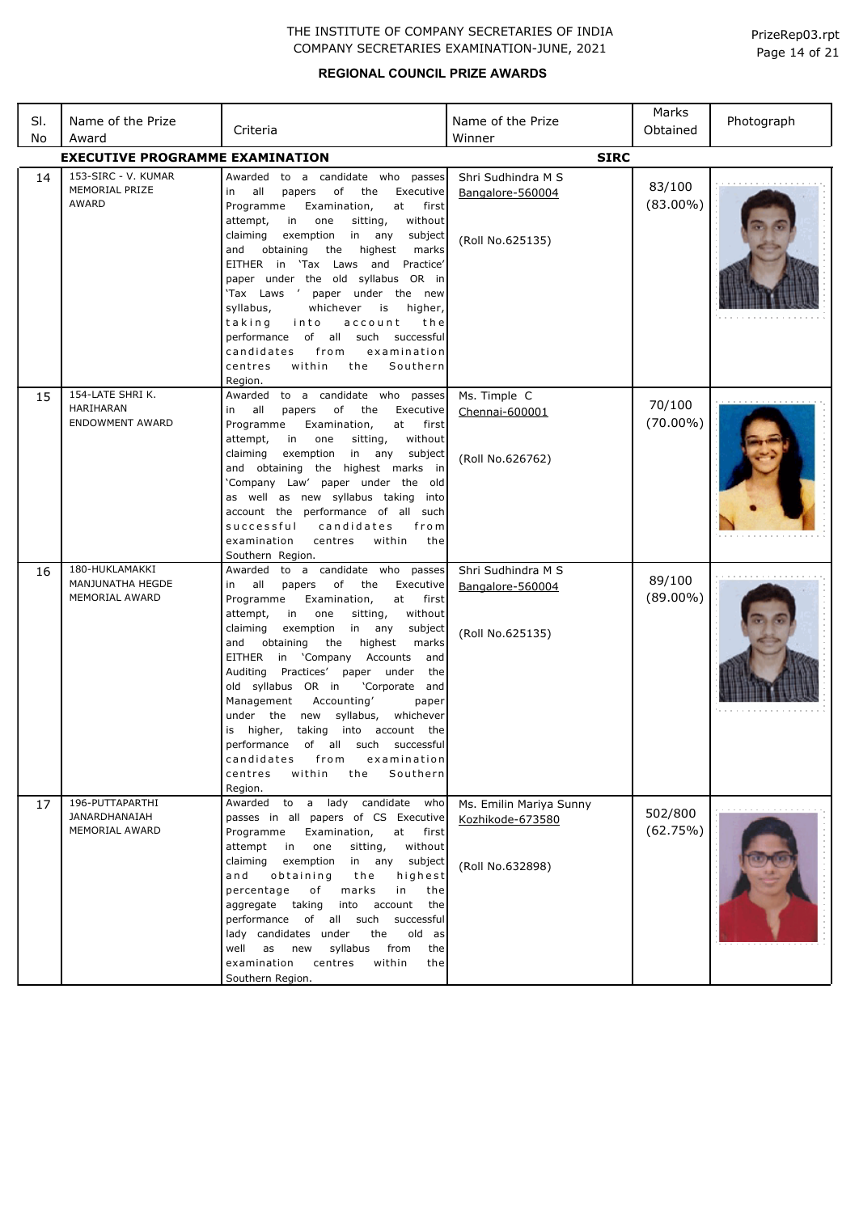| SI.<br>No | Name of the Prize<br>Award                              | Criteria                                                                                                                                                                                                                                                                                                                                                                                                                                                                                                                                                                                                                                                                         | Name of the Prize<br>Winner                                     | Marks<br>Obtained     | Photograph |
|-----------|---------------------------------------------------------|----------------------------------------------------------------------------------------------------------------------------------------------------------------------------------------------------------------------------------------------------------------------------------------------------------------------------------------------------------------------------------------------------------------------------------------------------------------------------------------------------------------------------------------------------------------------------------------------------------------------------------------------------------------------------------|-----------------------------------------------------------------|-----------------------|------------|
|           | <b>EXECUTIVE PROGRAMME EXAMINATION</b>                  |                                                                                                                                                                                                                                                                                                                                                                                                                                                                                                                                                                                                                                                                                  | <b>SIRC</b>                                                     |                       |            |
| 14        | 153-SIRC - V. KUMAR<br>MEMORIAL PRIZE<br><b>AWARD</b>   | Awarded to a candidate who passes<br>of<br>all<br>papers<br>the<br>Executive<br>in<br>Programme<br>Examination,<br>at<br>first<br>without<br>attempt,<br>in i<br>one<br>sitting,<br>claiming<br>exemption<br>in<br>any<br>subject<br>and<br>obtaining<br>the<br>highest<br>marks<br>EITHER in 'Tax Laws and Practice'<br>paper under the old syllabus OR in<br>'Tax Laws ' paper under the new<br>syllabus,<br>whichever<br>is<br>higher,<br>taking<br>into<br>account<br>the<br>performance of all such successful<br>examination<br>candidates<br>from<br>within<br>Southern<br>centres<br>the<br>Region.                                                                      | Shri Sudhindra M S<br>Bangalore-560004<br>(Roll No.625135)      | 83/100<br>$(83.00\%)$ |            |
| 15        | 154-LATE SHRI K.<br>HARIHARAN<br><b>ENDOWMENT AWARD</b> | to a candidate who passes<br>Awarded<br>of the<br>all<br>papers<br>Executive<br>in<br>Programme<br>at<br>Examination,<br>first<br>attempt,<br>in<br>one<br>sitting,<br>without<br>claiming<br>exemption<br>in<br>any<br>subject<br>the highest marks in<br>and obtaining<br>'Company Law' paper under the old<br>as well as new syllabus taking into<br>account the performance of all such<br>successful<br>candidates<br>from<br>within<br>examination<br>centres<br>the<br>Southern Region.                                                                                                                                                                                   | Ms. Timple C<br>Chennai-600001<br>(Roll No.626762)              | 70/100<br>$(70.00\%)$ |            |
| 16        | 180-HUKLAMAKKI<br>MANJUNATHA HEGDE<br>MEMORIAL AWARD    | Awarded to a candidate who<br>passes<br>of<br>all<br>papers<br>the<br>Executive<br>in<br>Programme<br>Examination,<br>at<br>first<br>attempt,<br>in<br>one<br>sitting,<br>without<br>claiming<br>exemption<br>in<br>any<br>subject<br>obtaining<br>the<br>highest<br>marks<br>and<br>EITHER in 'Company<br>Accounts<br>and<br>Practices'<br>paper under<br>Auditing<br>the<br>old syllabus OR in<br>'Corporate and<br>Management<br>Accounting'<br>paper<br>the new<br>syllabus,<br>whichever<br>under<br>higher,<br>taking into account the<br>is<br>performance of all such successful<br>from<br>examination<br>candidates<br>within<br>Southern<br>centres<br>the<br>Region. | Shri Sudhindra M S<br>Bangalore-560004<br>(Roll No.625135)      | 89/100<br>$(89.00\%)$ |            |
| 17        | 196-PUTTAPARTHI<br>JANARDHANAIAH<br>MEMORIAL AWARD      | Awarded to a lady candidate who<br>passes in all papers of CS Executive<br>Programme<br>Examination,<br>at first<br>attempt in<br>one<br>sitting,<br>without<br>claiming<br>exemption<br>in any subject<br>obtaining<br>highest<br>and<br>the<br>marks<br>percentage<br>of<br>in<br>the<br>into account<br>aggregate taking<br>the<br>performance of all such<br>successful<br>lady candidates under<br>the<br>old as<br>syllabus<br>from<br>the<br>well<br>as new<br>examination<br>within<br>centres<br>the<br>Southern Region.                                                                                                                                                | Ms. Emilin Mariya Sunny<br>Kozhikode-673580<br>(Roll No.632898) | 502/800<br>(62.75%)   |            |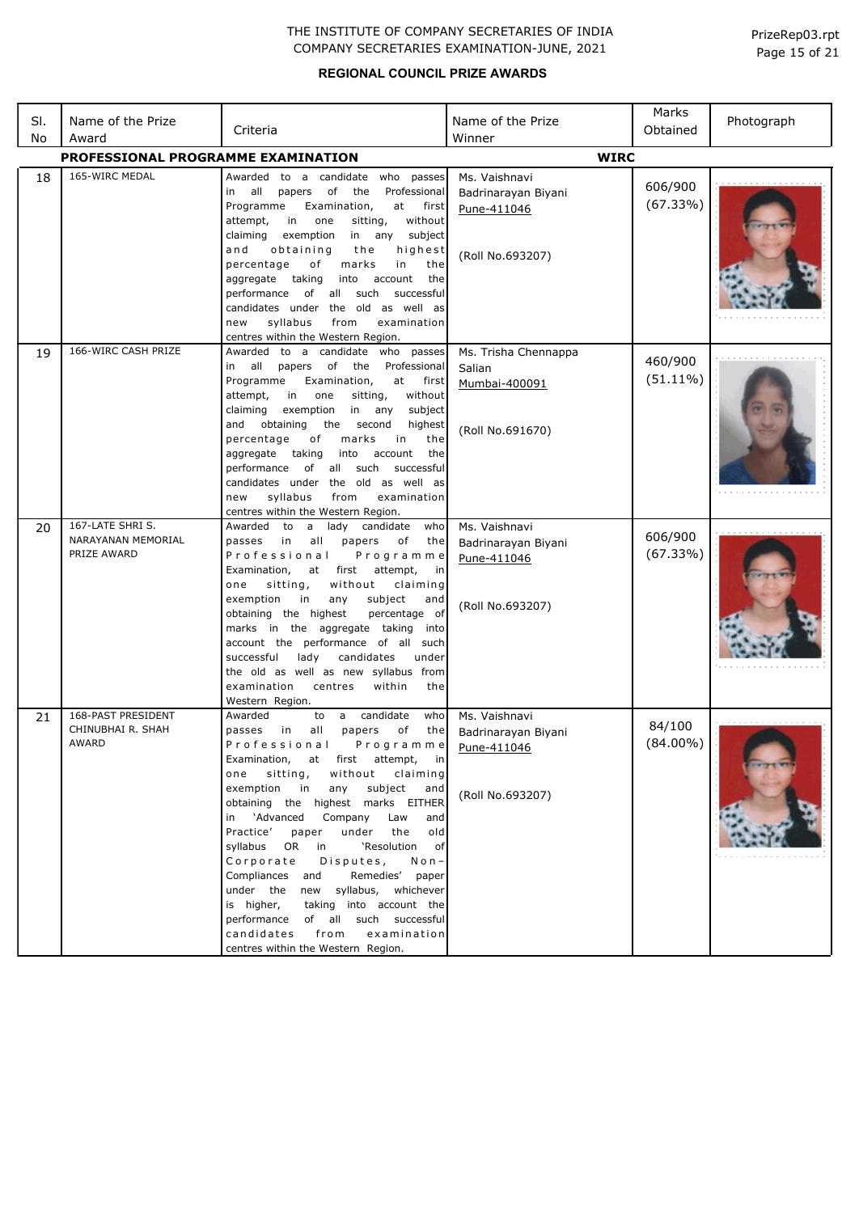## **REGIONAL COUNCIL PRIZE AWARDS**

| SI. | Name of the Prize                       |                                                                                                 | Name of the Prize    | Marks       | Photograph |
|-----|-----------------------------------------|-------------------------------------------------------------------------------------------------|----------------------|-------------|------------|
| No  | Award                                   | Criteria                                                                                        | Winner               | Obtained    |            |
|     | PROFESSIONAL PROGRAMME EXAMINATION      |                                                                                                 | <b>WIRC</b>          |             |            |
| 18  | 165-WIRC MEDAL                          | Awarded to a candidate who passes                                                               | Ms. Vaishnavi        |             |            |
|     |                                         | all<br>of<br>the<br>Professional<br>papers<br>in                                                | Badrinarayan Biyani  | 606/900     |            |
|     |                                         | Programme<br>first<br>Examination,<br>at                                                        | Pune-411046          | (67.33%)    |            |
|     |                                         | without<br>attempt,<br>in<br>one<br>sitting,                                                    |                      |             |            |
|     |                                         | exemption<br>any<br>claiming<br>in<br>subject                                                   |                      |             |            |
|     |                                         | and<br>obtaining<br>the<br>highest                                                              | (Roll No.693207)     |             |            |
|     |                                         | percentage<br>of<br>marks<br>in<br>the                                                          |                      |             |            |
|     |                                         | aggregate<br>taking<br>into<br>account<br>the<br>of all such                                    |                      |             |            |
|     |                                         | performance<br>successful<br>candidates under the old as well as                                |                      |             |            |
|     |                                         | syllabus<br>examination<br>new<br>from                                                          |                      |             |            |
|     |                                         | centres within the Western Region.                                                              |                      |             |            |
| 19  | 166-WIRC CASH PRIZE                     | Awarded<br>to a candidate who passes                                                            | Ms. Trisha Chennappa |             |            |
|     |                                         | all<br>Professional<br>papers of<br>the<br>in                                                   | Salian               | 460/900     |            |
|     |                                         | Programme<br>Examination,<br>at<br>first                                                        | Mumbai-400091        | $(51.11\%)$ |            |
|     |                                         | in<br>sitting,<br>without<br>attempt,<br>one                                                    |                      |             |            |
|     |                                         | claiming<br>exemption<br>in<br>any<br>subject                                                   |                      |             |            |
|     |                                         | obtaining<br>the<br>and<br>second<br>highest                                                    | (Roll No.691670)     |             |            |
|     |                                         | percentage<br>оf<br>in<br>the<br>marks                                                          |                      |             |            |
|     |                                         | aggregate taking<br>into<br>account<br>the<br>performance<br>all<br>such<br>successful<br>of    |                      |             |            |
|     |                                         | candidates under the old as well as                                                             |                      |             |            |
|     |                                         | syllabus<br>examination<br>new<br>from                                                          |                      |             |            |
|     |                                         | centres within the Western Region.                                                              |                      |             |            |
| 20  | 167-LATE SHRIS.                         | lady candidate<br>Awarded<br>to<br>$\mathsf{a}$<br>who                                          | Ms. Vaishnavi        |             |            |
|     | NARAYANAN MEMORIAL                      | in<br>all<br>papers<br>of<br>passes<br>the                                                      | Badrinarayan Biyani  | 606/900     |            |
|     | PRIZE AWARD                             | Professional<br>Programme                                                                       | Pune-411046          | (67.33%)    |            |
|     |                                         | first<br>Examination,<br>at<br>attempt,<br>in                                                   |                      |             |            |
|     |                                         | sitting,<br>without<br>claiming<br>one<br>exemption<br>subject<br>in<br>any<br>and              |                      |             |            |
|     |                                         | obtaining the highest<br>percentage of                                                          | (Roll No.693207)     |             |            |
|     |                                         | marks in the aggregate taking<br>into                                                           |                      |             |            |
|     |                                         | account the performance of all such                                                             |                      |             |            |
|     |                                         | candidates<br>under<br>successful<br>lady                                                       |                      |             |            |
|     |                                         | the old as well as new syllabus from                                                            |                      |             |            |
|     |                                         | examination<br>centres<br>within<br>the                                                         |                      |             |            |
|     |                                         | Western Region.                                                                                 |                      |             |            |
| 21  | 168-PAST PRESIDENT<br>CHINUBHAI R. SHAH | candidate<br>Awarded<br>$\mathsf{a}$<br>who<br>to<br>all<br>papers<br>of<br>passes<br>in<br>the | Ms. Vaishnavi        | 84/100      |            |
|     | AWARD                                   | Professional<br>Programme                                                                       | Badrinarayan Biyani  | $(84.00\%)$ |            |
|     |                                         | Examination, at first attempt,<br>in in                                                         | Pune-411046          |             |            |
|     |                                         | without claiming<br>sitting,<br>one                                                             |                      |             |            |
|     |                                         | exemption in<br>any<br>subject<br>and                                                           | (Roll No.693207)     |             |            |
|     |                                         | obtaining the highest marks EITHER                                                              |                      |             |            |
|     |                                         | in 'Advanced<br>Company<br>Law<br>and                                                           |                      |             |            |
|     |                                         | Practice'<br>under the<br>old<br>paper                                                          |                      |             |            |
|     |                                         | syllabus OR in<br>'Resolution of<br>Disputes,                                                   |                      |             |            |
|     |                                         | Corporate<br>$N$ o n –<br>Remedies' paper<br>Compliances and                                    |                      |             |            |
|     |                                         | under the new syllabus, whichever                                                               |                      |             |            |
|     |                                         | is higher,<br>taking into account the                                                           |                      |             |            |
|     |                                         | performance of all such successful                                                              |                      |             |            |
|     |                                         | candidates from<br>examination                                                                  |                      |             |            |
|     |                                         | centres within the Western Region.                                                              |                      |             |            |

Page 15 of 21 PrizeRep03.rpt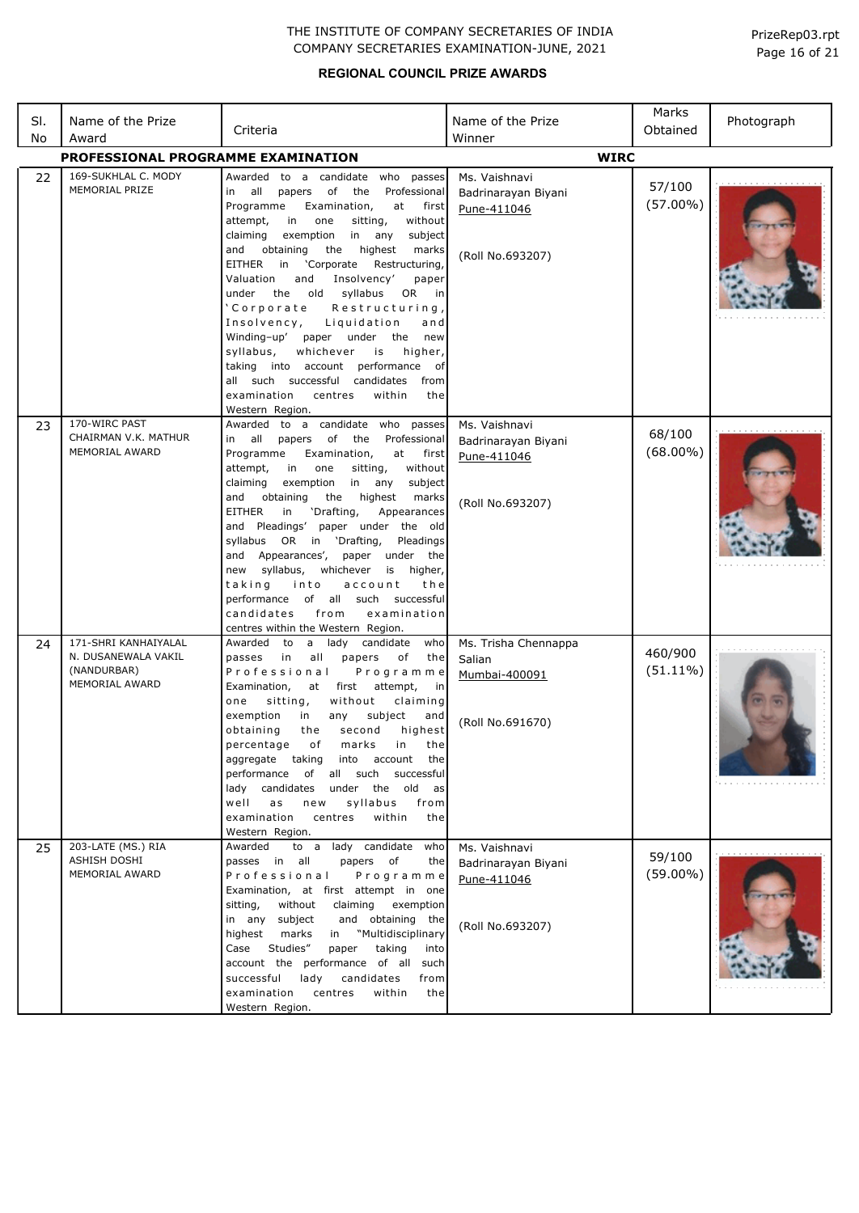| SI.<br>No | Name of the Prize<br>Award                                                   | Criteria                                                                                                                                                                                                                                                                                                                                                                                                                                                                                                                                                                                                                                                                                                      | Name of the Prize<br>Winner                                             | Marks<br>Obtained      | Photograph |
|-----------|------------------------------------------------------------------------------|---------------------------------------------------------------------------------------------------------------------------------------------------------------------------------------------------------------------------------------------------------------------------------------------------------------------------------------------------------------------------------------------------------------------------------------------------------------------------------------------------------------------------------------------------------------------------------------------------------------------------------------------------------------------------------------------------------------|-------------------------------------------------------------------------|------------------------|------------|
|           | PROFESSIONAL PROGRAMME EXAMINATION                                           |                                                                                                                                                                                                                                                                                                                                                                                                                                                                                                                                                                                                                                                                                                               | <b>WIRC</b>                                                             |                        |            |
| 22        | 169-SUKHLAL C. MODY<br>MEMORIAL PRIZE                                        | Awarded to a candidate who passes<br>all<br>papers of<br>the<br>Professional<br>in<br>Programme<br>Examination,<br>at<br>first<br>in<br>attempt,<br>one<br>sitting,<br>without<br>claiming<br>exemption<br>in<br>any<br>subject<br>highest<br>and<br>obtaining<br>the<br>marks<br>EITHER in 'Corporate<br>Restructuring<br>and<br>Valuation<br>Insolvency'<br>paper<br>syllabus<br>OR in<br>under<br>the old<br>'Corporate<br>Restructuring,<br>Insolvency,<br>Liquidation<br>and<br>Winding-up' paper under the new<br>syllabus,<br>whichever<br>is<br>higher,<br>taking into account performance of<br>all such successful candidates<br>from<br>examination<br>within<br>centres<br>the<br>Western Region. | Ms. Vaishnavi<br>Badrinarayan Biyani<br>Pune-411046<br>(Roll No.693207) | 57/100<br>$(57.00\%)$  |            |
| 23        | 170-WIRC PAST<br>CHAIRMAN V.K. MATHUR<br>MEMORIAL AWARD                      | Awarded to a candidate who passes<br>all<br>papers of the Professional<br>in<br>Examination,<br>Programme<br>at<br>first<br>attempt,<br>in<br>one<br>sitting,<br>without<br>claiming<br>exemption<br>in<br>any<br>subject<br>highest<br>and<br>obtaining<br>the<br>marks<br><b>EITHER</b><br>'Drafting,<br>in<br>Appearances<br>and Pleadings' paper under the old<br>syllabus OR in 'Drafting,<br>Pleadings<br>and Appearances',<br>paper under<br>the<br>new syllabus, whichever<br>is higher,<br>taking<br>into<br>account<br>the<br>performance of all such successful<br>examination<br>candidates<br>from<br>centres within the Western Region.                                                         | Ms. Vaishnavi<br>Badrinarayan Biyani<br>Pune-411046<br>(Roll No.693207) | 68/100<br>$(68.00\%)$  |            |
| 24        | 171-SHRI KANHAIYALAL<br>N. DUSANEWALA VAKIL<br>(NANDURBAR)<br>MEMORIAL AWARD | Awarded to<br>a lady candidate<br>who<br>passes<br>in<br>all<br>papers<br>of<br>the<br>Professional<br>Programme<br>Examination,<br>at first attempt,<br>in<br>without<br>one<br>sitting,<br>claiming<br>exemption<br>subject<br>in<br>any<br>and<br>obtaining<br>second<br>highest<br>the<br>of<br>in<br>the<br>percentage<br>marks<br>aggregate taking<br>into<br>account<br>the<br>performance of all such successful<br>candidates<br>under<br>the old as<br>lady<br>well<br>syllabus<br>a s<br>new<br>from<br>examination<br>centres<br>within<br>the<br>Western Region.                                                                                                                                 | Ms. Trisha Chennappa<br>Salian<br>Mumbai-400091<br>(Roll No.691670)     | 460/900<br>$(51.11\%)$ |            |
| 25        | 203-LATE (MS.) RIA<br>ASHISH DOSHI<br>MEMORIAL AWARD                         | to a lady candidate who<br>Awarded<br>passes in all<br>papers of<br>the<br>Professional<br>Programme<br>Examination, at first attempt in one<br>without<br>sitting,<br>claiming<br>exemption<br>subject<br>and obtaining the<br>in any<br>marks<br>"Multidisciplinary<br>highest<br>in<br>Studies"<br>Case<br>taking<br>paper<br>into<br>account the performance of all such<br>successful<br>lady<br>candidates<br>from<br>examination<br>centres<br>within<br>the<br>Western Region.                                                                                                                                                                                                                        | Ms. Vaishnavi<br>Badrinarayan Biyani<br>Pune-411046<br>(Roll No.693207) | 59/100<br>$(59.00\%)$  |            |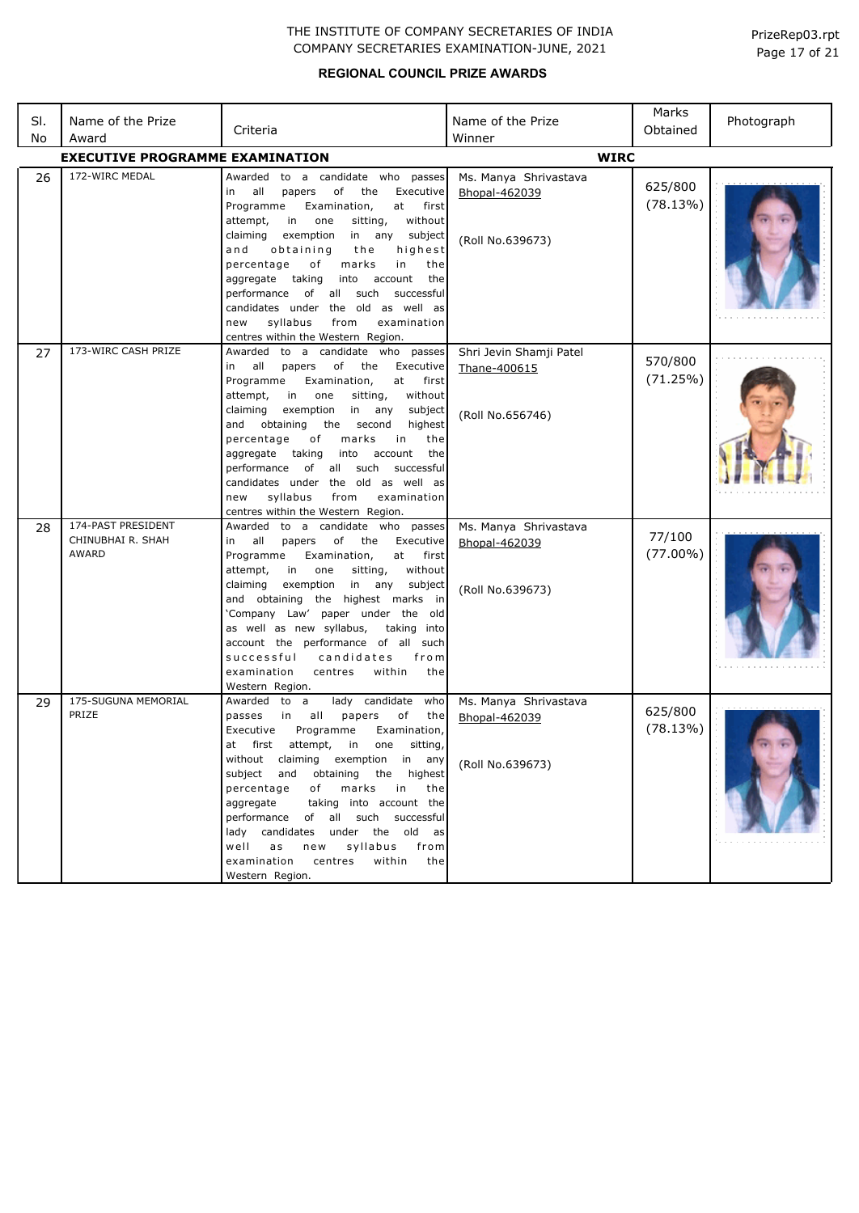| SI.<br>No | Name of the Prize<br>Award                       | Criteria                                                                                                                                                                                                                                                                                                                                                                                                                                                                                                                                      | Name of the Prize<br>Winner                                 | Marks<br>Obtained     | Photograph |
|-----------|--------------------------------------------------|-----------------------------------------------------------------------------------------------------------------------------------------------------------------------------------------------------------------------------------------------------------------------------------------------------------------------------------------------------------------------------------------------------------------------------------------------------------------------------------------------------------------------------------------------|-------------------------------------------------------------|-----------------------|------------|
|           | <b>EXECUTIVE PROGRAMME EXAMINATION</b>           |                                                                                                                                                                                                                                                                                                                                                                                                                                                                                                                                               | <b>WIRC</b>                                                 |                       |            |
| 26        | 172-WIRC MEDAL                                   | Awarded to a candidate who passes<br>all<br>of<br>Executive<br>papers<br>the<br>in<br>Programme<br>Examination,<br>at<br>first<br>without<br>attempt,<br>in i<br>one<br>sitting,<br>claiming<br>exemption<br>in any<br>subject<br>highest<br>and<br>obtaining<br>the<br>marks<br>percentage<br>of<br>in<br>the<br>aggregate taking<br>into<br>account<br>the<br>performance of all such<br>successful<br>candidates under the old as well as<br>syllabus<br>from<br>examination<br>new<br>centres within the Western Region.                  | Ms. Manya Shrivastava<br>Bhopal-462039<br>(Roll No.639673)  | 625/800<br>(78.13%)   |            |
| 27        | 173-WIRC CASH PRIZE                              | to a candidate who passes<br>Awarded<br>of the<br>in all<br>papers<br>Executive<br>Programme<br>Examination,<br>at<br>first<br>in<br>without<br>attempt,<br>one<br>sitting,<br>claiming<br>exemption<br>in<br>any<br>subject<br>obtaining<br>highest<br>and<br>the<br>second<br>percentage<br>оf<br>marks<br>in<br>the<br>aggregate taking<br>into<br>account<br>the<br>performance<br>of<br>all<br>such<br>successful<br>candidates under the old as well as<br>syllabus<br>examination<br>from<br>new<br>centres within the Western Region. | Shri Jevin Shamji Patel<br>Thane-400615<br>(Roll No.656746) | 570/800<br>(71.25%)   |            |
| 28        | 174-PAST PRESIDENT<br>CHINUBHAI R. SHAH<br>AWARD | Awarded to a candidate who passes<br>of the<br>Executive<br>all<br>papers<br>in<br>at<br>Programme<br>Examination,<br>first<br>without<br>attempt,<br>in<br>one<br>sitting,<br>exemption<br>in any<br>claiming<br>subject<br>and obtaining<br>the highest marks in<br>'Company Law' paper under the old<br>as well as new syllabus,<br>taking into<br>account the performance of all such<br>successful<br>candidates<br>from<br>within<br>examination<br>centres<br>the<br>Western Region.                                                   | Ms. Manya Shrivastava<br>Bhopal-462039<br>(Roll No.639673)  | 77/100<br>$(77.00\%)$ |            |
| 29        | 175-SUGUNA MEMORIAL<br>PRIZE                     | lady candidate who<br>Awarded to a<br>in<br>all<br>papers<br>of<br>passes<br>the<br>Executive<br>Programme<br>Examination,<br>first<br>attempt,<br>in<br>one<br>sitting,<br>at<br>without claiming exemption in any<br>subject and obtaining the highest<br>of marks<br>percentage<br>in<br>the<br>taking into account the<br>aggregate<br>performance of all such successful<br>lady candidates under the old as<br>well<br>as<br>syllabus<br>new<br>from<br>examination<br>within<br>centres<br>the<br>Western Region.                      | Ms. Manya Shrivastava<br>Bhopal-462039<br>(Roll No.639673)  | 625/800<br>(78.13%)   |            |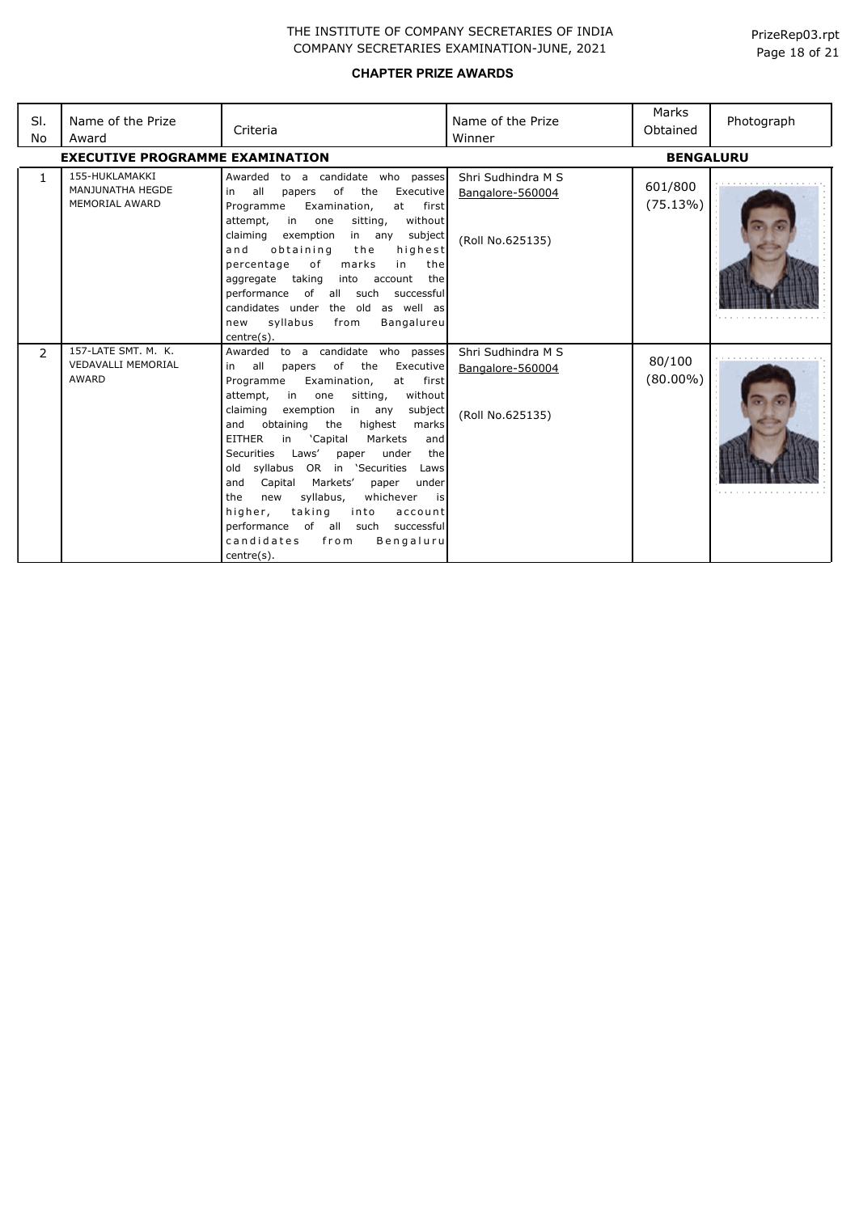| SI.<br>No      | Name of the Prize<br>Award                                       | Criteria                                                                                                                                                                                                                                                                                                                                                                                                                                                                                                                                                                                                                                                             | Name of the Prize<br>Winner                                | Marks<br>Obtained     | Photograph |
|----------------|------------------------------------------------------------------|----------------------------------------------------------------------------------------------------------------------------------------------------------------------------------------------------------------------------------------------------------------------------------------------------------------------------------------------------------------------------------------------------------------------------------------------------------------------------------------------------------------------------------------------------------------------------------------------------------------------------------------------------------------------|------------------------------------------------------------|-----------------------|------------|
|                | <b>EXECUTIVE PROGRAMME EXAMINATION</b>                           |                                                                                                                                                                                                                                                                                                                                                                                                                                                                                                                                                                                                                                                                      |                                                            | <b>BENGALURU</b>      |            |
| $\mathbf{1}$   | 155-HUKLAMAKKI<br>MANJUNATHA HEGDE<br><b>MEMORIAL AWARD</b>      | Awarded to a candidate who passes<br>all<br>of<br>the<br>Executive<br>in<br>papers<br>Examination,<br>Programme<br>at<br>first<br>attempt,<br>in<br>sitting,<br>without<br>one<br>claiming<br>exemption<br>subject<br>in any<br>obtaining<br>highest<br>and<br>the<br>of<br>marks<br>percentage<br>in<br>the<br>taking<br>account<br>the<br>aggregate<br>into<br>performance<br>of all such<br>successful<br>candidates under the old as well as<br>syllabus<br>Bangalureu<br>from<br>new<br>centre(s).                                                                                                                                                              | Shri Sudhindra M S<br>Bangalore-560004<br>(Roll No.625135) | 601/800<br>(75.13%)   |            |
| $\overline{2}$ | 157-LATE SMT, M. K.<br><b>VEDAVALLI MEMORIAL</b><br><b>AWARD</b> | Awarded to a candidate who passes<br>of<br>all<br>the<br>Executive<br>papers<br>in<br>Programme<br>Examination,<br>at<br>first<br>in<br>without<br>attempt,<br>one<br>sitting,<br>claiming<br>exemption<br>subject<br>in<br>any<br>and<br>obtaining<br>the<br>highest<br>marks<br><b>EITHER</b><br>'Capital<br>Markets<br>in<br>and<br><b>Securities</b><br>Laws'<br>under<br>the<br>paper<br>old syllabus OR in 'Securities<br>Laws<br>Markets'<br>Capital<br>and<br>paper<br>under<br>syllabus,<br>whichever<br>the<br>new<br>is<br>taking<br>higher,<br>into<br>account<br>performance of all such<br>successful<br>candidates<br>Bengaluru<br>from<br>centre(s). | Shri Sudhindra M S<br>Bangalore-560004<br>(Roll No.625135) | 80/100<br>$(80.00\%)$ |            |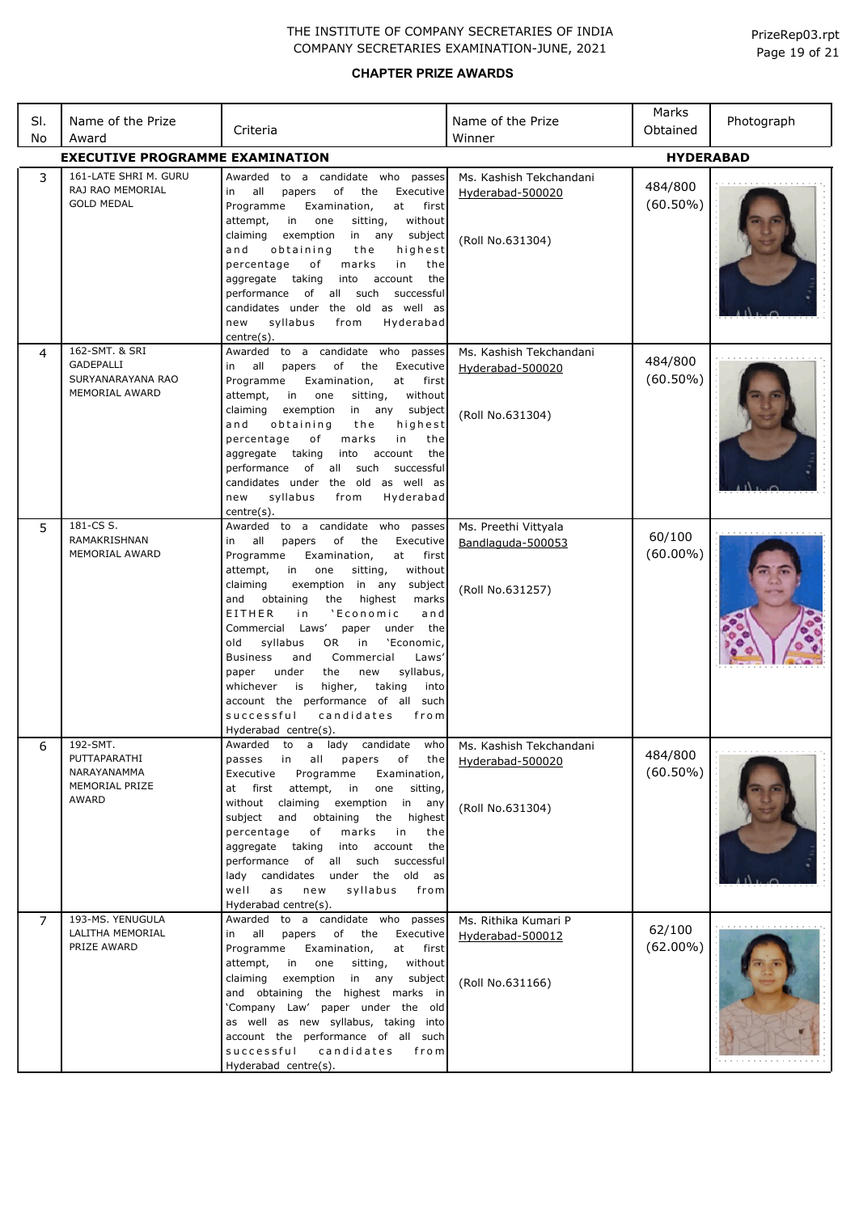| SI.<br>No | Name of the Prize<br>Award                                                       | Criteria                                                                                                                                                                                                                                                                                                                                                                                                                                                                                                                                                                                                                                                        | Name of the Prize<br>Winner                                     | Marks<br>Obtained      | Photograph |
|-----------|----------------------------------------------------------------------------------|-----------------------------------------------------------------------------------------------------------------------------------------------------------------------------------------------------------------------------------------------------------------------------------------------------------------------------------------------------------------------------------------------------------------------------------------------------------------------------------------------------------------------------------------------------------------------------------------------------------------------------------------------------------------|-----------------------------------------------------------------|------------------------|------------|
|           | <b>EXECUTIVE PROGRAMME EXAMINATION</b>                                           |                                                                                                                                                                                                                                                                                                                                                                                                                                                                                                                                                                                                                                                                 |                                                                 | <b>HYDERABAD</b>       |            |
| 3         | 161-LATE SHRI M. GURU<br>RAJ RAO MEMORIAL<br><b>GOLD MEDAL</b>                   | Awarded to a candidate who passes<br>all<br>of<br>Executive<br>in<br>papers<br>the<br>Programme<br>Examination,<br>at<br>first<br>without<br>attempt,<br>in<br>one<br>sitting,<br>in any<br>subject<br>claiming<br>exemption<br>highest<br>and<br>obtaining<br>the<br>in<br>percentage<br>of<br>marks<br>the<br>account<br>aggregate<br>taking<br>into<br>the<br>of all<br>such<br>successful<br>performance<br>candidates under the old as well as<br>syllabus<br>from<br>Hyderabad<br>new<br>centre(s).                                                                                                                                                       | Ms. Kashish Tekchandani<br>Hyderabad-500020<br>(Roll No.631304) | 484/800<br>$(60.50\%)$ |            |
| 4         | 162-SMT. & SRI<br><b>GADEPALLI</b><br>SURYANARAYANA RAO<br><b>MEMORIAL AWARD</b> | to a candidate who passes<br>Awarded<br>of<br>Executive<br>all<br>papers<br>the<br>in<br>Programme<br>Examination,<br>at<br>first<br>without<br>attempt,<br>in<br>one<br>sitting,<br>subject<br>claiming<br>exemption<br>in any<br>and<br>obtaining<br>highest<br>the<br>percentage<br>оf<br>marks<br>in<br>the<br>taking<br>account<br>aggregate<br>into<br>the<br>such<br>performance<br>of<br>all<br>successful<br>candidates under the old as well as<br>syllabus<br>Hyderabad<br>new<br>from<br>centre(s).                                                                                                                                                 | Ms. Kashish Tekchandani<br>Hyderabad-500020<br>(Roll No.631304) | 484/800<br>$(60.50\%)$ |            |
| 5         | 181-CS S.<br>RAMAKRISHNAN<br>MEMORIAL AWARD                                      | to a candidate who passes<br>Awarded<br>all<br>of<br>Executive<br>in<br>papers<br>the<br>Programme<br>at<br>first<br>Examination,<br>without<br>attempt,<br>in<br>one<br>sitting,<br>exemption in any<br>claiming<br>subject<br>highest<br>and<br>obtaining<br>the<br>marks<br>and<br>EITHER<br>'Economic<br>i n<br>Laws'<br>under the<br>Commercial<br>paper<br>'Economic,<br>old<br>syllabus<br>OR.<br>in<br>Commercial<br>Laws'<br><b>Business</b><br>and<br>syllabus,<br>under<br>the<br>new<br>paper<br>higher,<br>taking<br>whichever<br>is<br>into<br>account the performance of all<br>such<br>successful<br>candidates<br>from<br>Hyderabad centre(s). | Ms. Preethi Vittyala<br>Bandlaguda-500053<br>(Roll No.631257)   | 60/100<br>$(60.00\%)$  |            |
| 6         | 192-SMT.<br>PUTTAPARATHI<br>NARAYANAMMA<br>MEMORIAL PRIZE<br>AWARD               | Awarded to a lady candidate who<br>passes in<br>all<br>papers<br>of the<br>Programme<br>Executive<br>Examination,<br>attempt,<br>at first<br>in<br>one<br>sitting,<br>without claiming<br>exemption<br>in any<br>subject<br>and<br>obtaining<br>the<br>highest<br>percentage<br>of<br>marks<br>in<br>the<br>into<br>account<br>the<br>aggregate taking<br>performance of all such successful<br>lady candidates under the old<br>as<br>a s<br>syllabus<br>well<br>new<br>from<br>Hyderabad centre(s).                                                                                                                                                           | Ms. Kashish Tekchandani<br>Hyderabad-500020<br>(Roll No.631304) | 484/800<br>$(60.50\%)$ |            |
| 7         | 193-MS. YENUGULA<br>LALITHA MEMORIAL<br>PRIZE AWARD                              | Awarded to a candidate who passes<br>in all<br>papers of the<br>Executive<br>Programme<br>Examination,<br>at first<br>without<br>attempt,<br>in<br>one<br>sitting,<br>exemption<br>subject<br>claiming<br>in any<br>and obtaining the highest marks in<br>'Company Law' paper under the old<br>as well as new syllabus, taking into<br>account the performance of all such<br>successful<br>candidates<br>from<br>Hyderabad centre(s).                                                                                                                                                                                                                          | Ms. Rithika Kumari P<br>Hyderabad-500012<br>(Roll No.631166)    | 62/100<br>$(62.00\%)$  | .          |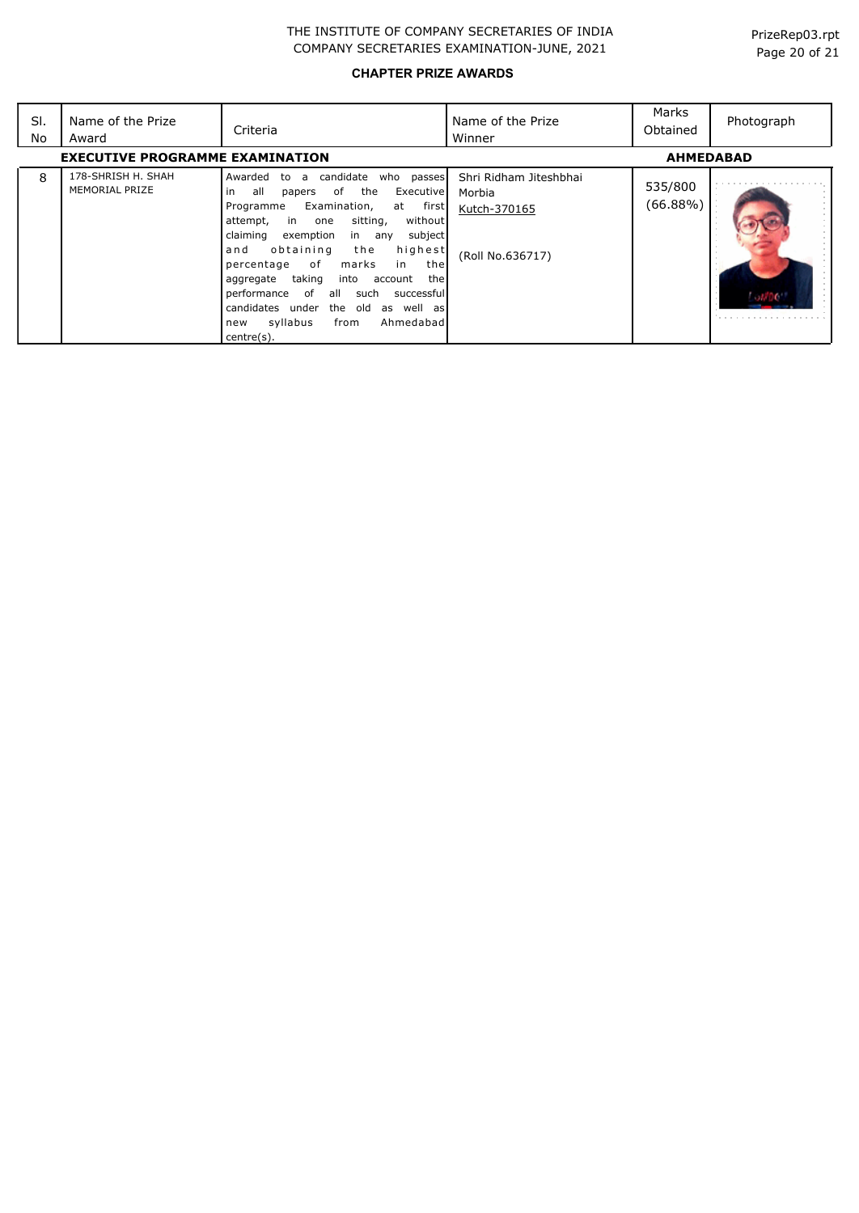| SI.<br>No | Name of the Prize<br>Award             | Criteria                                                                                                                                                                                                                                                                                                                                                                                                                                                                                                        | Name of the Prize<br>Winner                                          | Marks<br>Obtained      | Photograph |
|-----------|----------------------------------------|-----------------------------------------------------------------------------------------------------------------------------------------------------------------------------------------------------------------------------------------------------------------------------------------------------------------------------------------------------------------------------------------------------------------------------------------------------------------------------------------------------------------|----------------------------------------------------------------------|------------------------|------------|
|           | <b>EXECUTIVE PROGRAMME EXAMINATION</b> |                                                                                                                                                                                                                                                                                                                                                                                                                                                                                                                 |                                                                      | <b>AHMEDABAD</b>       |            |
| 8         | 178-SHRISH H. SHAH<br>MEMORIAL PRIZE   | candidate<br>Awarded to a<br>who passes<br>the<br>all<br>of<br>Executive<br>in<br>papers<br>Examination,<br>at first<br>Programme<br>without<br>sitting,<br>in one<br>attempt,<br>subject<br>exemption<br>claiming<br>in any<br>obtaining<br>the<br>highest<br>and<br>of<br>marks<br>percentage<br>in<br>thel<br>taking<br>thel<br>aggregate<br>into<br>account<br>of all<br>successful<br>performance<br>such<br>candidates under the old<br>as well as<br>syllabus<br>from<br>Ahmedabadl<br>new<br>centre(s). | Shri Ridham Jiteshbhai<br>Morbia<br>Kutch-370165<br>(Roll No.636717) | 535/800<br>$(66.88\%)$ |            |